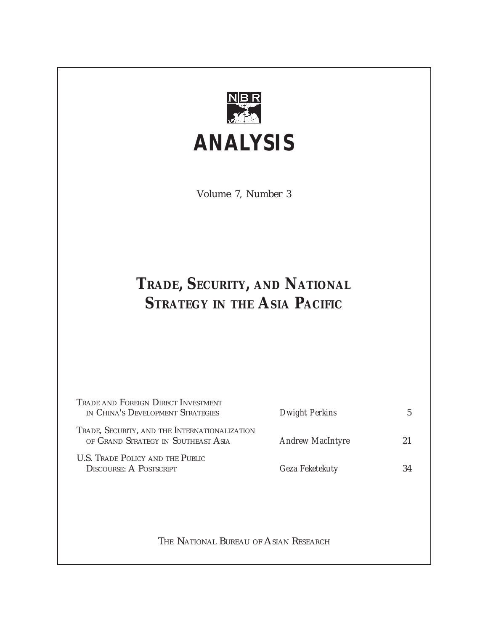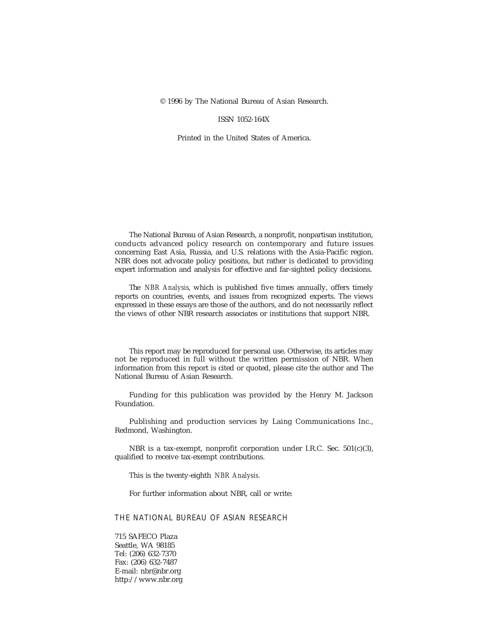© 1996 by The National Bureau of Asian Research.

#### ISSN 1052-164X

Printed in the United States of America.

The National Bureau of Asian Research, a nonprofit, nonpartisan institution, conducts advanced policy research on contemporary and future issues concerning East Asia, Russia, and U.S. relations with the Asia-Pacific region. NBR does not advocate policy positions, but rather is dedicated to providing expert information and analysis for effective and far-sighted policy decisions.

The *NBR Analysis*, which is published five times annually, offers timely reports on countries, events, and issues from recognized experts. The views expressed in these essays are those of the authors, and do not necessarily reflect the views of other NBR research associates or institutions that support NBR.

This report may be reproduced for personal use. Otherwise, its articles may not be reproduced in full without the written permission of NBR. When information from this report is cited or quoted, please cite the author and The National Bureau of Asian Research.

Funding for this publication was provided by the Henry M. Jackson Foundation.

Publishing and production services by Laing Communications Inc., Redmond, Washington.

NBR is a tax-exempt, nonprofit corporation under I.R.C. Sec. 501(c)(3), qualified to receive tax-exempt contributions.

This is the twenty-eighth *NBR Analysis.*

For further information about NBR, call or write:

#### THE NATIONAL BUREAU OF ASIAN RESEARCH

715 SAFECO Plaza Seattle, WA 98185 Tel: (206) 632-7370 Fax: (206) 632-7487 E-mail: nbr@nbr.org http://www.nbr.org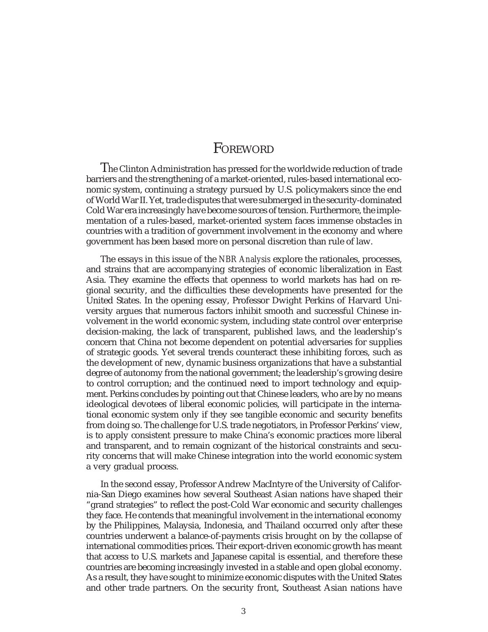# **FOREWORD**

The Clinton Administration has pressed for the worldwide reduction of trade barriers and the strengthening of a market-oriented, rules-based international economic system, continuing a strategy pursued by U.S. policymakers since the end of World War II. Yet, trade disputes that were submerged in the security-dominated Cold War era increasingly have become sources of tension. Furthermore, the implementation of a rules-based, market-oriented system faces immense obstacles in countries with a tradition of government involvement in the economy and where government has been based more on personal discretion than rule of law.

The essays in this issue of the *NBR Analysis* explore the rationales, processes, and strains that are accompanying strategies of economic liberalization in East Asia. They examine the effects that openness to world markets has had on regional security, and the difficulties these developments have presented for the United States. In the opening essay, Professor Dwight Perkins of Harvard University argues that numerous factors inhibit smooth and successful Chinese involvement in the world economic system, including state control over enterprise decision-making, the lack of transparent, published laws, and the leadership's concern that China not become dependent on potential adversaries for supplies of strategic goods. Yet several trends counteract these inhibiting forces, such as the development of new, dynamic business organizations that have a substantial degree of autonomy from the national government; the leadership's growing desire to control corruption; and the continued need to import technology and equipment. Perkins concludes by pointing out that Chinese leaders, who are by no means ideological devotees of liberal economic policies, will participate in the international economic system only if they see tangible economic and security benefits from doing so. The challenge for U.S. trade negotiators, in Professor Perkins' view, is to apply consistent pressure to make China's economic practices more liberal and transparent, and to remain cognizant of the historical constraints and security concerns that will make Chinese integration into the world economic system a very gradual process.

In the second essay, Professor Andrew MacIntyre of the University of California-San Diego examines how several Southeast Asian nations have shaped their "grand strategies" to reflect the post-Cold War economic and security challenges they face. He contends that meaningful involvement in the international economy by the Philippines, Malaysia, Indonesia, and Thailand occurred only after these countries underwent a balance-of-payments crisis brought on by the collapse of international commodities prices. Their export-driven economic growth has meant that access to U.S. markets and Japanese capital is essential, and therefore these countries are becoming increasingly invested in a stable and open global economy. As a result, they have sought to minimize economic disputes with the United States and other trade partners. On the security front, Southeast Asian nations have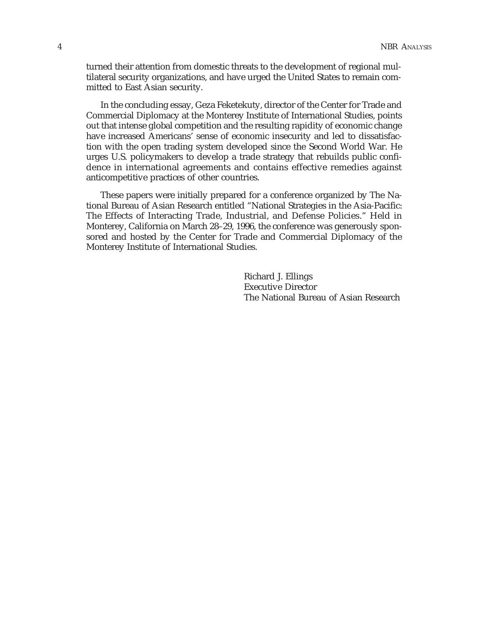turned their attention from domestic threats to the development of regional multilateral security organizations, and have urged the United States to remain committed to East Asian security.

In the concluding essay, Geza Feketekuty, director of the Center for Trade and Commercial Diplomacy at the Monterey Institute of International Studies, points out that intense global competition and the resulting rapidity of economic change have increased Americans' sense of economic insecurity and led to dissatisfaction with the open trading system developed since the Second World War. He urges U.S. policymakers to develop a trade strategy that rebuilds public confidence in international agreements and contains effective remedies against anticompetitive practices of other countries.

These papers were initially prepared for a conference organized by The National Bureau of Asian Research entitled "National Strategies in the Asia-Pacific: The Effects of Interacting Trade, Industrial, and Defense Policies." Held in Monterey, California on March 28–29, 1996, the conference was generously sponsored and hosted by the Center for Trade and Commercial Diplomacy of the Monterey Institute of International Studies.

> Richard J. Ellings Executive Director The National Bureau of Asian Research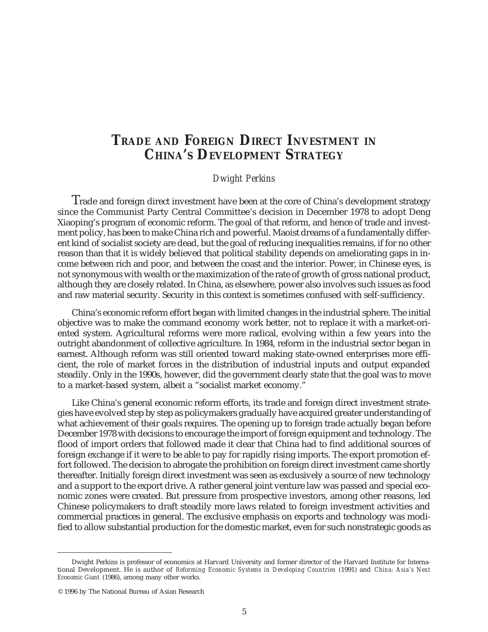# **TRADE AND FOREIGN DIRECT INVESTMENT IN CHINA'S DEVELOPMENT STRATEGY**

### *Dwight Perkins*

Trade and foreign direct investment have been at the core of China's development strategy since the Communist Party Central Committee's decision in December 1978 to adopt Deng Xiaoping's program of economic reform. The goal of that reform, and hence of trade and investment policy, has been to make China rich and powerful. Maoist dreams of a fundamentally different kind of socialist society are dead, but the goal of reducing inequalities remains, if for no other reason than that it is widely believed that political stability depends on ameliorating gaps in income between rich and poor, and between the coast and the interior. Power, in Chinese eyes, is not synonymous with wealth or the maximization of the rate of growth of gross national product, although they are closely related. In China, as elsewhere, power also involves such issues as food and raw material security. Security in this context is sometimes confused with self-sufficiency.

China's economic reform effort began with limited changes in the industrial sphere. The initial objective was to make the command economy work better, not to replace it with a market-oriented system. Agricultural reforms were more radical, evolving within a few years into the outright abandonment of collective agriculture. In 1984, reform in the industrial sector began in earnest. Although reform was still oriented toward making state-owned enterprises more efficient, the role of market forces in the distribution of industrial inputs and output expanded steadily. Only in the 1990s, however, did the government clearly state that the goal was to move to a market-based system, albeit a "socialist market economy."

Like China's general economic reform efforts, its trade and foreign direct investment strategies have evolved step by step as policymakers gradually have acquired greater understanding of what achievement of their goals requires. The opening up to foreign trade actually began before December 1978 with decisions to encourage the import of foreign equipment and technology. The flood of import orders that followed made it clear that China had to find additional sources of foreign exchange if it were to be able to pay for rapidly rising imports. The export promotion effort followed. The decision to abrogate the prohibition on foreign direct investment came shortly thereafter. Initially foreign direct investment was seen as exclusively a source of new technology and a support to the export drive. A rather general joint venture law was passed and special economic zones were created. But pressure from prospective investors, among other reasons, led Chinese policymakers to draft steadily more laws related to foreign investment activities and commercial practices in general. The exclusive emphasis on exports and technology was modified to allow substantial production for the domestic market, even for such nonstrategic goods as

Dwight Perkins is professor of economics at Harvard University and former director of the Harvard Institute for International Development. He is author of *Reforming Economic Systems in Developing Countries* (1991) and *China: Asia's Next Economic Giant* (1986), among many other works.

<sup>© 1996</sup> by The National Bureau of Asian Research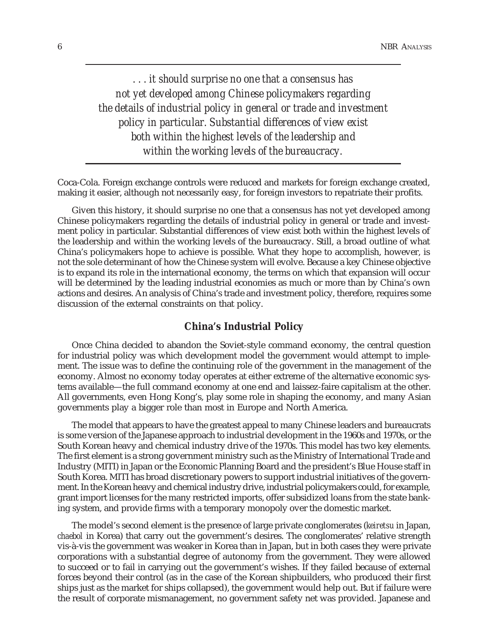*. . . it should surprise no one that a consensus has not yet developed among Chinese policymakers regarding the details of industrial policy in general or trade and investment policy in particular. Substantial differences of view exist both within the highest levels of the leadership and within the working levels of the bureaucracy.*

Coca-Cola. Foreign exchange controls were reduced and markets for foreign exchange created, making it easier, although not necessarily easy, for foreign investors to repatriate their profits.

Given this history, it should surprise no one that a consensus has not yet developed among Chinese policymakers regarding the details of industrial policy in general or trade and investment policy in particular. Substantial differences of view exist both within the highest levels of the leadership and within the working levels of the bureaucracy. Still, a broad outline of what China's policymakers hope to achieve is possible. What they hope to accomplish, however, is not the sole determinant of how the Chinese system will evolve. Because a key Chinese objective is to expand its role in the international economy, the terms on which that expansion will occur will be determined by the leading industrial economies as much or more than by China's own actions and desires. An analysis of China's trade and investment policy, therefore, requires some discussion of the external constraints on that policy.

## **China's Industrial Policy**

Once China decided to abandon the Soviet-style command economy, the central question for industrial policy was which development model the government would attempt to implement. The issue was to define the continuing role of the government in the management of the economy. Almost no economy today operates at either extreme of the alternative economic systems available—the full command economy at one end and laissez-faire capitalism at the other. All governments, even Hong Kong's, play some role in shaping the economy, and many Asian governments play a bigger role than most in Europe and North America.

The model that appears to have the greatest appeal to many Chinese leaders and bureaucrats is some version of the Japanese approach to industrial development in the 1960s and 1970s, or the South Korean heavy and chemical industry drive of the 1970s. This model has two key elements. The first element is a strong government ministry such as the Ministry of International Trade and Industry (MITI) in Japan or the Economic Planning Board and the president's Blue House staff in South Korea. MITI has broad discretionary powers to support industrial initiatives of the government. In the Korean heavy and chemical industry drive, industrial policymakers could, for example, grant import licenses for the many restricted imports, offer subsidized loans from the state banking system, and provide firms with a temporary monopoly over the domestic market.

The model's second element is the presence of large private conglomerates (*keiretsu* in Japan, *chaebol* in Korea) that carry out the government's desires. The conglomerates' relative strength vis-à-vis the government was weaker in Korea than in Japan, but in both cases they were private corporations with a substantial degree of autonomy from the government. They were allowed to succeed or to fail in carrying out the government's wishes. If they failed because of external forces beyond their control (as in the case of the Korean shipbuilders, who produced their first ships just as the market for ships collapsed), the government would help out. But if failure were the result of corporate mismanagement, no government safety net was provided. Japanese and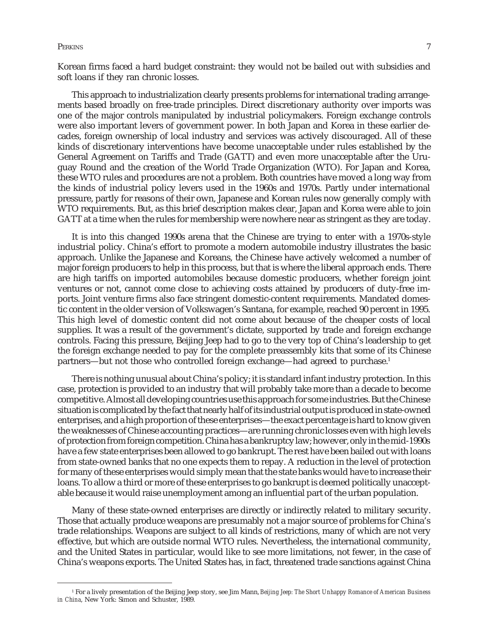#### Perkins the contract of the contract of the contract of the contract of the contract of the contract of the contract of the contract of the contract of the contract of the contract of the contract of the contract of the co

Korean firms faced a hard budget constraint: they would not be bailed out with subsidies and soft loans if they ran chronic losses.

This approach to industrialization clearly presents problems for international trading arrangements based broadly on free-trade principles. Direct discretionary authority over imports was one of the major controls manipulated by industrial policymakers. Foreign exchange controls were also important levers of government power. In both Japan and Korea in these earlier decades, foreign ownership of local industry and services was actively discouraged. All of these kinds of discretionary interventions have become unacceptable under rules established by the General Agreement on Tariffs and Trade (GATT) and even more unacceptable after the Uruguay Round and the creation of the World Trade Organization (WTO). For Japan and Korea, these WTO rules and procedures are not a problem. Both countries have moved a long way from the kinds of industrial policy levers used in the 1960s and 1970s. Partly under international pressure, partly for reasons of their own, Japanese and Korean rules now generally comply with WTO requirements. But, as this brief description makes clear, Japan and Korea were able to join GATT at a time when the rules for membership were nowhere near as stringent as they are today.

It is into this changed 1990s arena that the Chinese are trying to enter with a 1970s-style industrial policy. China's effort to promote a modern automobile industry illustrates the basic approach. Unlike the Japanese and Koreans, the Chinese have actively welcomed a number of major foreign producers to help in this process, but that is where the liberal approach ends. There are high tariffs on imported automobiles because domestic producers, whether foreign joint ventures or not, cannot come close to achieving costs attained by producers of duty-free imports. Joint venture firms also face stringent domestic-content requirements. Mandated domestic content in the older version of Volkswagen's Santana, for example, reached 90 percent in 1995. This high level of domestic content did not come about because of the cheaper costs of local supplies. It was a result of the government's dictate, supported by trade and foreign exchange controls. Facing this pressure, Beijing Jeep had to go to the very top of China's leadership to get the foreign exchange needed to pay for the complete preassembly kits that some of its Chinese partners—but not those who controlled foreign exchange—had agreed to purchase.1

There is nothing unusual about China's policy; it is standard infant industry protection. In this case, protection is provided to an industry that will probably take more than a decade to become competitive. Almost all developing countries use this approach for some industries. But the Chinese situation is complicated by the fact that nearly half of its industrial output is produced in state-owned enterprises, and a high proportion of these enterprises—the exact percentage is hard to know given the weaknesses of Chinese accounting practices—are running chronic losses even with high levels of protection from foreign competition. China has a bankruptcy law; however, only in the mid-1990s have a few state enterprises been allowed to go bankrupt. The rest have been bailed out with loans from state-owned banks that no one expects them to repay. A reduction in the level of protection for many of these enterprises would simply mean that the state banks would have to increase their loans. To allow a third or more of these enterprises to go bankrupt is deemed politically unacceptable because it would raise unemployment among an influential part of the urban population.

Many of these state-owned enterprises are directly or indirectly related to military security. Those that actually produce weapons are presumably not a major source of problems for China's trade relationships. Weapons are subject to all kinds of restrictions, many of which are not very effective, but which are outside normal WTO rules. Nevertheless, the international community, and the United States in particular, would like to see more limitations, not fewer, in the case of China's weapons exports. The United States has, in fact, threatened trade sanctions against China

<sup>1</sup> For a lively presentation of the Beijing Jeep story, see Jim Mann, *Beijing Jeep: The Short Unhappy Romance of American Business in China*, New York: Simon and Schuster, 1989.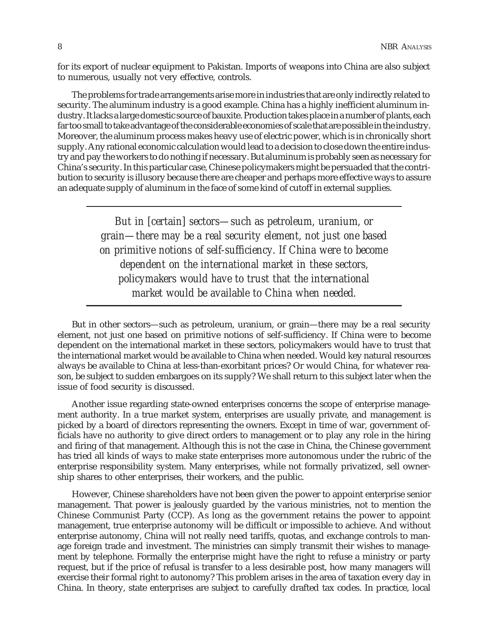for its export of nuclear equipment to Pakistan. Imports of weapons into China are also subject to numerous, usually not very effective, controls.

The problems for trade arrangements arise more in industries that are only indirectly related to security. The aluminum industry is a good example. China has a highly inefficient aluminum industry. It lacks a large domestic source of bauxite. Production takes place in a number of plants, each far too small to take advantage of the considerable economies of scale that are possible in the industry. Moreover, the aluminum process makes heavy use of electric power, which is in chronically short supply. Any rational economic calculation would lead to a decision to close down the entire industry and pay the workers to do nothing if necessary. But aluminum is probably seen as necessary for China's security. In this particular case, Chinese policymakers might be persuaded that the contribution to security is illusory because there are cheaper and perhaps more effective ways to assure an adequate supply of aluminum in the face of some kind of cutoff in external supplies.

> *But in [certain] sectors—such as petroleum, uranium, or grain—there may be a real security element, not just one based on primitive notions of self-sufficiency. If China were to become dependent on the international market in these sectors, policymakers would have to trust that the international market would be available to China when needed.*

But in other sectors—such as petroleum, uranium, or grain—there may be a real security element, not just one based on primitive notions of self-sufficiency. If China were to become dependent on the international market in these sectors, policymakers would have to trust that the international market would be available to China when needed. Would key natural resources always be available to China at less-than-exorbitant prices? Or would China, for whatever reason, be subject to sudden embargoes on its supply? We shall return to this subject later when the issue of food security is discussed.

Another issue regarding state-owned enterprises concerns the scope of enterprise management authority. In a true market system, enterprises are usually private, and management is picked by a board of directors representing the owners. Except in time of war, government officials have no authority to give direct orders to management or to play any role in the hiring and firing of that management. Although this is not the case in China, the Chinese government has tried all kinds of ways to make state enterprises more autonomous under the rubric of the enterprise responsibility system. Many enterprises, while not formally privatized, sell ownership shares to other enterprises, their workers, and the public.

However, Chinese shareholders have not been given the power to appoint enterprise senior management. That power is jealously guarded by the various ministries, not to mention the Chinese Communist Party (CCP). As long as the government retains the power to appoint management, true enterprise autonomy will be difficult or impossible to achieve. And without enterprise autonomy, China will not really need tariffs, quotas, and exchange controls to manage foreign trade and investment. The ministries can simply transmit their wishes to management by telephone. Formally the enterprise might have the right to refuse a ministry or party request, but if the price of refusal is transfer to a less desirable post, how many managers will exercise their formal right to autonomy? This problem arises in the area of taxation every day in China. In theory, state enterprises are subject to carefully drafted tax codes. In practice, local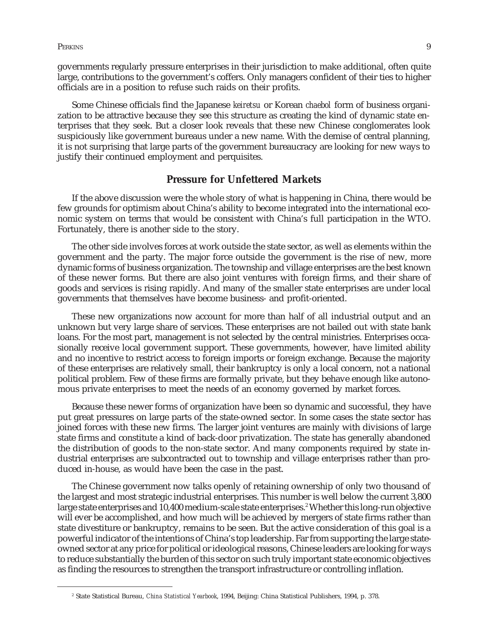governments regularly pressure enterprises in their jurisdiction to make additional, often quite large, contributions to the government's coffers. Only managers confident of their ties to higher officials are in a position to refuse such raids on their profits.

Some Chinese officials find the Japanese *keiretsu* or Korean *chaebol* form of business organization to be attractive because they see this structure as creating the kind of dynamic state enterprises that they seek. But a closer look reveals that these new Chinese conglomerates look suspiciously like government bureaus under a new name. With the demise of central planning, it is not surprising that large parts of the government bureaucracy are looking for new ways to justify their continued employment and perquisites.

# **Pressure for Unfettered Markets**

If the above discussion were the whole story of what is happening in China, there would be few grounds for optimism about China's ability to become integrated into the international economic system on terms that would be consistent with China's full participation in the WTO. Fortunately, there is another side to the story.

The other side involves forces at work outside the state sector, as well as elements within the government and the party. The major force outside the government is the rise of new, more dynamic forms of business organization. The township and village enterprises are the best known of these newer forms. But there are also joint ventures with foreign firms, and their share of goods and services is rising rapidly. And many of the smaller state enterprises are under local governments that themselves have become business- and profit-oriented.

These new organizations now account for more than half of all industrial output and an unknown but very large share of services. These enterprises are not bailed out with state bank loans. For the most part, management is not selected by the central ministries. Enterprises occasionally receive local government support. These governments, however, have limited ability and no incentive to restrict access to foreign imports or foreign exchange. Because the majority of these enterprises are relatively small, their bankruptcy is only a local concern, not a national political problem. Few of these firms are formally private, but they behave enough like autonomous private enterprises to meet the needs of an economy governed by market forces.

Because these newer forms of organization have been so dynamic and successful, they have put great pressures on large parts of the state-owned sector. In some cases the state sector has joined forces with these new firms. The larger joint ventures are mainly with divisions of large state firms and constitute a kind of back-door privatization. The state has generally abandoned the distribution of goods to the non-state sector. And many components required by state industrial enterprises are subcontracted out to township and village enterprises rather than produced in-house, as would have been the case in the past.

The Chinese government now talks openly of retaining ownership of only two thousand of the largest and most strategic industrial enterprises. This number is well below the current 3,800 large state enterprises and 10,400 medium-scale state enterprises.<sup>2</sup> Whether this long-run objective will ever be accomplished, and how much will be achieved by mergers of state firms rather than state divestiture or bankruptcy, remains to be seen. But the active consideration of this goal is a powerful indicator of the intentions of China's top leadership. Far from supporting the large stateowned sector at any price for political or ideological reasons, Chinese leaders are looking for ways to reduce substantially the burden of this sector on such truly important state economic objectives as finding the resources to strengthen the transport infrastructure or controlling inflation.

<sup>2</sup> State Statistical Bureau, *China Statistical Yearbook*, 1994, Beijing: China Statistical Publishers, 1994, p. 378.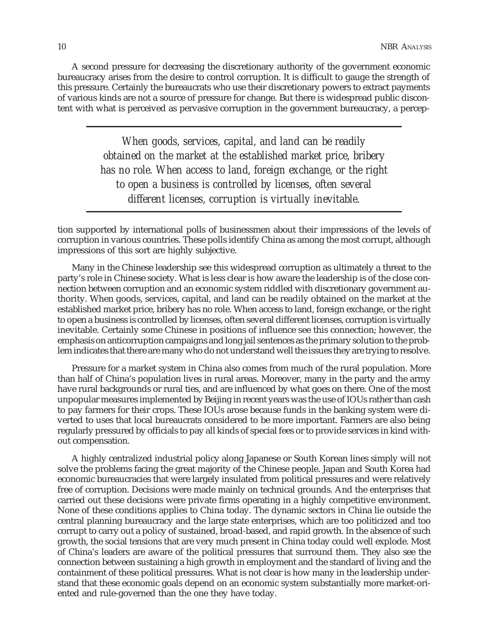A second pressure for decreasing the discretionary authority of the government economic bureaucracy arises from the desire to control corruption. It is difficult to gauge the strength of this pressure. Certainly the bureaucrats who use their discretionary powers to extract payments of various kinds are not a source of pressure for change. But there is widespread public discontent with what is perceived as pervasive corruption in the government bureaucracy, a percep-

> *When goods, services, capital, and land can be readily obtained on the market at the established market price, bribery has no role. When access to land, foreign exchange, or the right to open a business is controlled by licenses, often several different licenses, corruption is virtually inevitable.*

tion supported by international polls of businessmen about their impressions of the levels of corruption in various countries. These polls identify China as among the most corrupt, although impressions of this sort are highly subjective.

Many in the Chinese leadership see this widespread corruption as ultimately a threat to the party's role in Chinese society. What is less clear is how aware the leadership is of the close connection between corruption and an economic system riddled with discretionary government authority. When goods, services, capital, and land can be readily obtained on the market at the established market price, bribery has no role. When access to land, foreign exchange, or the right to open a business is controlled by licenses, often several different licenses, corruption is virtually inevitable. Certainly some Chinese in positions of influence see this connection; however, the emphasis on anticorruption campaigns and long jail sentences as the primary solution to the problem indicates that there are many who do not understand well the issues they are trying to resolve.

Pressure for a market system in China also comes from much of the rural population. More than half of China's population lives in rural areas. Moreover, many in the party and the army have rural backgrounds or rural ties, and are influenced by what goes on there. One of the most unpopular measures implemented by Beijing in recent years was the use of IOUs rather than cash to pay farmers for their crops. These IOUs arose because funds in the banking system were diverted to uses that local bureaucrats considered to be more important. Farmers are also being regularly pressured by officials to pay all kinds of special fees or to provide services in kind without compensation.

A highly centralized industrial policy along Japanese or South Korean lines simply will not solve the problems facing the great majority of the Chinese people. Japan and South Korea had economic bureaucracies that were largely insulated from political pressures and were relatively free of corruption. Decisions were made mainly on technical grounds. And the enterprises that carried out these decisions were private firms operating in a highly competitive environment. None of these conditions applies to China today. The dynamic sectors in China lie outside the central planning bureaucracy and the large state enterprises, which are too politicized and too corrupt to carry out a policy of sustained, broad-based, and rapid growth. In the absence of such growth, the social tensions that are very much present in China today could well explode. Most of China's leaders are aware of the political pressures that surround them. They also see the connection between sustaining a high growth in employment and the standard of living and the containment of these political pressures. What is not clear is how many in the leadership understand that these economic goals depend on an economic system substantially more market-oriented and rule-governed than the one they have today.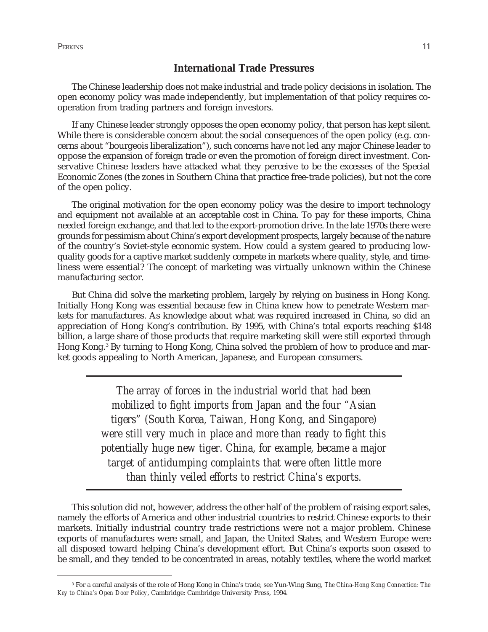Perkins 11

# **International Trade Pressures**

The Chinese leadership does not make industrial and trade policy decisions in isolation. The open economy policy was made independently, but implementation of that policy requires cooperation from trading partners and foreign investors.

If any Chinese leader strongly opposes the open economy policy, that person has kept silent. While there is considerable concern about the social consequences of the open policy (e.g. concerns about "bourgeois liberalization"), such concerns have not led any major Chinese leader to oppose the expansion of foreign trade or even the promotion of foreign direct investment. Conservative Chinese leaders have attacked what they perceive to be the excesses of the Special Economic Zones (the zones in Southern China that practice free-trade policies), but not the core of the open policy.

The original motivation for the open economy policy was the desire to import technology and equipment not available at an acceptable cost in China. To pay for these imports, China needed foreign exchange, and that led to the export-promotion drive. In the late 1970s there were grounds for pessimism about China's export development prospects, largely because of the nature of the country's Soviet-style economic system. How could a system geared to producing lowquality goods for a captive market suddenly compete in markets where quality, style, and timeliness were essential? The concept of marketing was virtually unknown within the Chinese manufacturing sector.

But China did solve the marketing problem, largely by relying on business in Hong Kong. Initially Hong Kong was essential because few in China knew how to penetrate Western markets for manufactures. As knowledge about what was required increased in China, so did an appreciation of Hong Kong's contribution. By 1995, with China's total exports reaching \$148 billion, a large share of those products that require marketing skill were still exported through Hong Kong.3 By turning to Hong Kong, China solved the problem of how to produce and market goods appealing to North American, Japanese, and European consumers.

> *The array of forces in the industrial world that had been mobilized to fight imports from Japan and the four "Asian tigers" (South Korea, Taiwan, Hong Kong, and Singapore) were still very much in place and more than ready to fight this potentially huge new tiger. China, for example, became a major target of antidumping complaints that were often little more than thinly veiled efforts to restrict China's exports.*

This solution did not, however, address the other half of the problem of raising export sales, namely the efforts of America and other industrial countries to restrict Chinese exports to their markets. Initially industrial country trade restrictions were not a major problem. Chinese exports of manufactures were small, and Japan, the United States, and Western Europe were all disposed toward helping China's development effort. But China's exports soon ceased to be small, and they tended to be concentrated in areas, notably textiles, where the world market

<sup>3</sup> For a careful analysis of the role of Hong Kong in China's trade, see Yun-Wing Sung, *The China-Hong Kong Connection: The Key to China's Open Door Policy*, Cambridge: Cambridge University Press, 1994.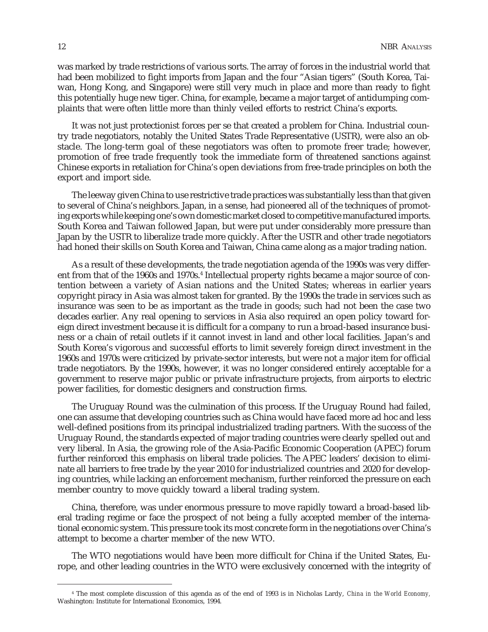was marked by trade restrictions of various sorts. The array of forces in the industrial world that had been mobilized to fight imports from Japan and the four "Asian tigers" (South Korea, Taiwan, Hong Kong, and Singapore) were still very much in place and more than ready to fight this potentially huge new tiger. China, for example, became a major target of antidumping complaints that were often little more than thinly veiled efforts to restrict China's exports.

It was not just protectionist forces per se that created a problem for China. Industrial country trade negotiators, notably the United States Trade Representative (USTR), were also an obstacle. The long-term goal of these negotiators was often to promote freer trade; however, promotion of free trade frequently took the immediate form of threatened sanctions against Chinese exports in retaliation for China's open deviations from free-trade principles on both the export and import side.

The leeway given China to use restrictive trade practices was substantially less than that given to several of China's neighbors. Japan, in a sense, had pioneered all of the techniques of promoting exports while keeping one's own domestic market closed to competitive manufactured imports. South Korea and Taiwan followed Japan, but were put under considerably more pressure than Japan by the USTR to liberalize trade more quickly. After the USTR and other trade negotiators had honed their skills on South Korea and Taiwan, China came along as a major trading nation.

As a result of these developments, the trade negotiation agenda of the 1990s was very different from that of the 1960s and 1970s.4 Intellectual property rights became a major source of contention between a variety of Asian nations and the United States; whereas in earlier years copyright piracy in Asia was almost taken for granted. By the 1990s the trade in services such as insurance was seen to be as important as the trade in goods; such had not been the case two decades earlier. Any real opening to services in Asia also required an open policy toward foreign direct investment because it is difficult for a company to run a broad-based insurance business or a chain of retail outlets if it cannot invest in land and other local facilities. Japan's and South Korea's vigorous and successful efforts to limit severely foreign direct investment in the 1960s and 1970s were criticized by private-sector interests, but were not a major item for official trade negotiators. By the 1990s, however, it was no longer considered entirely acceptable for a government to reserve major public or private infrastructure projects, from airports to electric power facilities, for domestic designers and construction firms.

The Uruguay Round was the culmination of this process. If the Uruguay Round had failed, one can assume that developing countries such as China would have faced more ad hoc and less well-defined positions from its principal industrialized trading partners. With the success of the Uruguay Round, the standards expected of major trading countries were clearly spelled out and very liberal. In Asia, the growing role of the Asia-Pacific Economic Cooperation (APEC) forum further reinforced this emphasis on liberal trade policies. The APEC leaders' decision to eliminate all barriers to free trade by the year 2010 for industrialized countries and 2020 for developing countries, while lacking an enforcement mechanism, further reinforced the pressure on each member country to move quickly toward a liberal trading system.

China, therefore, was under enormous pressure to move rapidly toward a broad-based liberal trading regime or face the prospect of not being a fully accepted member of the international economic system. This pressure took its most concrete form in the negotiations over China's attempt to become a charter member of the new WTO.

The WTO negotiations would have been more difficult for China if the United States, Europe, and other leading countries in the WTO were exclusively concerned with the integrity of

<sup>4</sup> The most complete discussion of this agenda as of the end of 1993 is in Nicholas Lardy, *China in the World Economy,* Washington: Institute for International Economics, 1994.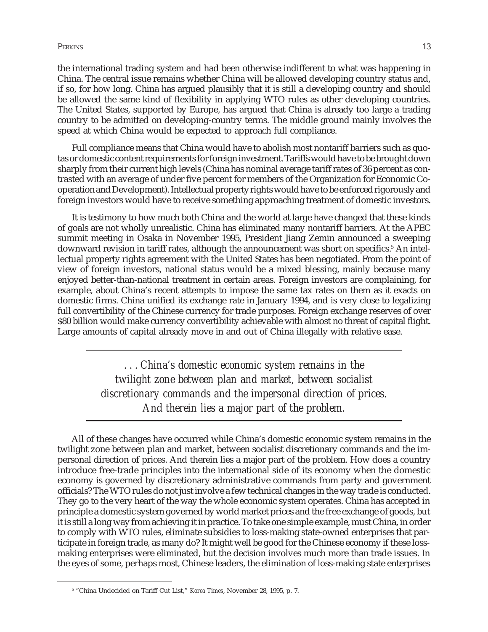Perkins the contract of the contract of the contract of the contract of the contract of the contract of the contract of the contract of the contract of the contract of the contract of the contract of the contract of the co

the international trading system and had been otherwise indifferent to what was happening in China. The central issue remains whether China will be allowed developing country status and, if so, for how long. China has argued plausibly that it is still a developing country and should be allowed the same kind of flexibility in applying WTO rules as other developing countries. The United States, supported by Europe, has argued that China is already too large a trading country to be admitted on developing-country terms. The middle ground mainly involves the speed at which China would be expected to approach full compliance.

Full compliance means that China would have to abolish most nontariff barriers such as quotas or domestic content requirements for foreign investment. Tariffs would have to be brought down sharply from their current high levels (China has nominal average tariff rates of 36 percent as contrasted with an average of under five percent for members of the Organization for Economic Cooperation and Development). Intellectual property rights would have to be enforced rigorously and foreign investors would have to receive something approaching treatment of domestic investors.

It is testimony to how much both China and the world at large have changed that these kinds of goals are not wholly unrealistic. China has eliminated many nontariff barriers. At the APEC summit meeting in Osaka in November 1995, President Jiang Zemin announced a sweeping downward revision in tariff rates, although the announcement was short on specifics.<sup>5</sup> An intellectual property rights agreement with the United States has been negotiated. From the point of view of foreign investors, national status would be a mixed blessing, mainly because many enjoyed better-than-national treatment in certain areas. Foreign investors are complaining, for example, about China's recent attempts to impose the same tax rates on them as it exacts on domestic firms. China unified its exchange rate in January 1994, and is very close to legalizing full convertibility of the Chinese currency for trade purposes. Foreign exchange reserves of over \$80 billion would make currency convertibility achievable with almost no threat of capital flight. Large amounts of capital already move in and out of China illegally with relative ease.

> *. . . China's domestic economic system remains in the twilight zone between plan and market, between socialist discretionary commands and the impersonal direction of prices. And therein lies a major part of the problem.*

All of these changes have occurred while China's domestic economic system remains in the twilight zone between plan and market, between socialist discretionary commands and the impersonal direction of prices. And therein lies a major part of the problem. How does a country introduce free-trade principles into the international side of its economy when the domestic economy is governed by discretionary administrative commands from party and government officials? The WTO rules do not just involve a few technical changes in the way trade is conducted. They go to the very heart of the way the whole economic system operates. China has accepted in principle a domestic system governed by world market prices and the free exchange of goods, but it is still a long way from achieving it in practice. To take one simple example, must China, in order to comply with WTO rules, eliminate subsidies to loss-making state-owned enterprises that participate in foreign trade, as many do? It might well be good for the Chinese economy if these lossmaking enterprises were eliminated, but the decision involves much more than trade issues. In the eyes of some, perhaps most, Chinese leaders, the elimination of loss-making state enterprises

<sup>5</sup> "China Undecided on Tariff Cut List," *Korea Times*, November 28, 1995, p. 7.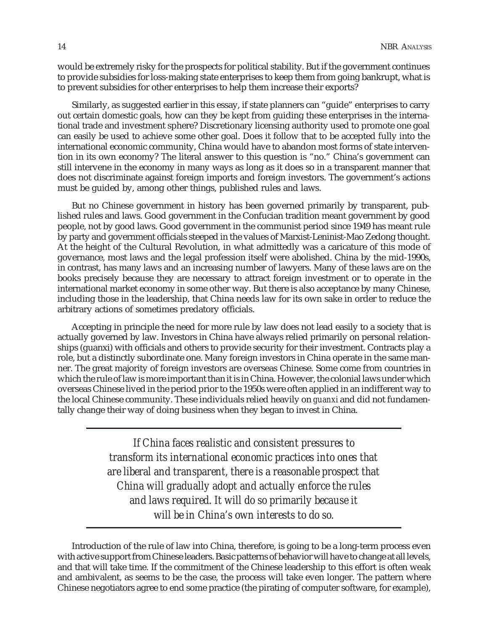would be extremely risky for the prospects for political stability. But if the government continues to provide subsidies for loss-making state enterprises to keep them from going bankrupt, what is to prevent subsidies for other enterprises to help them increase their exports?

Similarly, as suggested earlier in this essay, if state planners can "guide" enterprises to carry out certain domestic goals, how can they be kept from guiding these enterprises in the international trade and investment sphere? Discretionary licensing authority used to promote one goal can easily be used to achieve some other goal. Does it follow that to be accepted fully into the international economic community, China would have to abandon most forms of state intervention in its own economy? The literal answer to this question is "no." China's government can still intervene in the economy in many ways as long as it does so in a transparent manner that does not discriminate against foreign imports and foreign investors. The government's actions must be guided by, among other things, published rules and laws.

But no Chinese government in history has been governed primarily by transparent, published rules and laws. Good government in the Confucian tradition meant government by good people, not by good laws. Good government in the communist period since 1949 has meant rule by party and government officials steeped in the values of Marxist-Leninist-Mao Zedong thought. At the height of the Cultural Revolution, in what admittedly was a caricature of this mode of governance, most laws and the legal profession itself were abolished. China by the mid-1990s, in contrast, has many laws and an increasing number of lawyers. Many of these laws are on the books precisely because they are necessary to attract foreign investment or to operate in the international market economy in some other way. But there is also acceptance by many Chinese, including those in the leadership, that China needs law for its own sake in order to reduce the arbitrary actions of sometimes predatory officials.

Accepting in principle the need for more rule by law does not lead easily to a society that is actually governed by law. Investors in China have always relied primarily on personal relationships (guanxi) with officials and others to provide security for their investment. Contracts play a role, but a distinctly subordinate one. Many foreign investors in China operate in the same manner. The great majority of foreign investors are overseas Chinese. Some come from countries in which the rule of law is more important than it is in China. However, the colonial laws under which overseas Chinese lived in the period prior to the 1950s were often applied in an indifferent way to the local Chinese community. These individuals relied heavily on *guanxi* and did not fundamentally change their way of doing business when they began to invest in China.

> *If China faces realistic and consistent pressures to transform its international economic practices into ones that are liberal and transparent, there is a reasonable prospect that China will gradually adopt and actually enforce the rules and laws required. It will do so primarily because it will be in China's own interests to do so.*

Introduction of the rule of law into China, therefore, is going to be a long-term process even with active support from Chinese leaders. Basic patterns of behavior will have to change at all levels, and that will take time. If the commitment of the Chinese leadership to this effort is often weak and ambivalent, as seems to be the case, the process will take even longer. The pattern where Chinese negotiators agree to end some practice (the pirating of computer software, for example),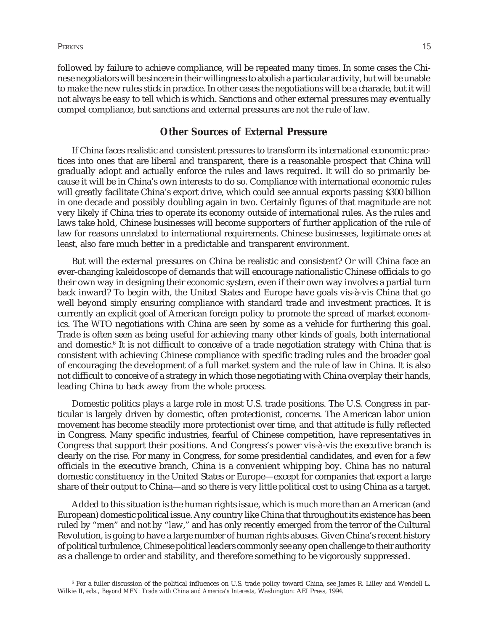followed by failure to achieve compliance, will be repeated many times. In some cases the Chinese negotiators will be sincere in their willingness to abolish a particular activity, but will be unable to make the new rules stick in practice. In other cases the negotiations will be a charade, but it will not always be easy to tell which is which. Sanctions and other external pressures may eventually compel compliance, but sanctions and external pressures are not the rule of law.

# **Other Sources of External Pressure**

If China faces realistic and consistent pressures to transform its international economic practices into ones that are liberal and transparent, there is a reasonable prospect that China will gradually adopt and actually enforce the rules and laws required. It will do so primarily because it will be in China's own interests to do so. Compliance with international economic rules will greatly facilitate China's export drive, which could see annual exports passing \$300 billion in one decade and possibly doubling again in two. Certainly figures of that magnitude are not very likely if China tries to operate its economy outside of international rules. As the rules and laws take hold, Chinese businesses will become supporters of further application of the rule of law for reasons unrelated to international requirements. Chinese businesses, legitimate ones at least, also fare much better in a predictable and transparent environment.

But will the external pressures on China be realistic and consistent? Or will China face an ever-changing kaleidoscope of demands that will encourage nationalistic Chinese officials to go their own way in designing their economic system, even if their own way involves a partial turn back inward? To begin with, the United States and Europe have goals vis-à-vis China that go well beyond simply ensuring compliance with standard trade and investment practices. It is currently an explicit goal of American foreign policy to promote the spread of market economics. The WTO negotiations with China are seen by some as a vehicle for furthering this goal. Trade is often seen as being useful for achieving many other kinds of goals, both international and domestic.<sup>6</sup> It is not difficult to conceive of a trade negotiation strategy with China that is consistent with achieving Chinese compliance with specific trading rules and the broader goal of encouraging the development of a full market system and the rule of law in China. It is also not difficult to conceive of a strategy in which those negotiating with China overplay their hands, leading China to back away from the whole process.

Domestic politics plays a large role in most U.S. trade positions. The U.S. Congress in particular is largely driven by domestic, often protectionist, concerns. The American labor union movement has become steadily more protectionist over time, and that attitude is fully reflected in Congress. Many specific industries, fearful of Chinese competition, have representatives in Congress that support their positions. And Congress's power vis-à-vis the executive branch is clearly on the rise. For many in Congress, for some presidential candidates, and even for a few officials in the executive branch, China is a convenient whipping boy. China has no natural domestic constituency in the United States or Europe—except for companies that export a large share of their output to China—and so there is very little political cost to using China as a target.

Added to this situation is the human rights issue, which is much more than an American (and European) domestic political issue. Any country like China that throughout its existence has been ruled by "men" and not by "law," and has only recently emerged from the terror of the Cultural Revolution, is going to have a large number of human rights abuses. Given China's recent history of political turbulence, Chinese political leaders commonly see any open challenge to their authority as a challenge to order and stability, and therefore something to be vigorously suppressed.

<sup>6</sup> For a fuller discussion of the political influences on U.S. trade policy toward China, see James R. Lilley and Wendell L. Wilkie II, eds., *Beyond MFN: Trade with China and America's Interests*, Washington: AEI Press, 1994.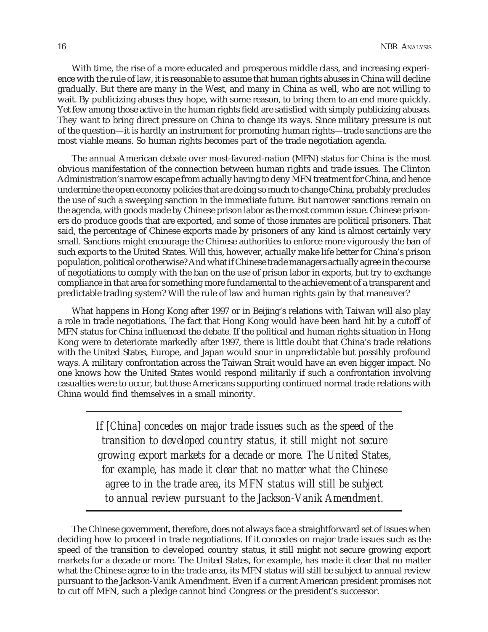With time, the rise of a more educated and prosperous middle class, and increasing experience with the rule of law, it is reasonable to assume that human rights abuses in China will decline gradually. But there are many in the West, and many in China as well, who are not willing to wait. By publicizing abuses they hope, with some reason, to bring them to an end more quickly. Yet few among those active in the human rights field are satisfied with simply publicizing abuses. They want to bring direct pressure on China to change its ways. Since military pressure is out of the question—it is hardly an instrument for promoting human rights—trade sanctions are the most viable means. So human rights becomes part of the trade negotiation agenda.

The annual American debate over most-favored-nation (MFN) status for China is the most obvious manifestation of the connection between human rights and trade issues. The Clinton Administration's narrow escape from actually having to deny MFN treatment for China, and hence undermine the open economy policies that are doing so much to change China, probably precludes the use of such a sweeping sanction in the immediate future. But narrower sanctions remain on the agenda, with goods made by Chinese prison labor as the most common issue. Chinese prisoners do produce goods that are exported, and some of those inmates are political prisoners. That said, the percentage of Chinese exports made by prisoners of any kind is almost certainly very small. Sanctions might encourage the Chinese authorities to enforce more vigorously the ban of such exports to the United States. Will this, however, actually make life better for China's prison population, political or otherwise? And what if Chinese trade managers actually agree in the course of negotiations to comply with the ban on the use of prison labor in exports, but try to exchange compliance in that area for something more fundamental to the achievement of a transparent and predictable trading system? Will the rule of law and human rights gain by that maneuver?

What happens in Hong Kong after 1997 or in Beijing's relations with Taiwan will also play a role in trade negotiations. The fact that Hong Kong would have been hard hit by a cutoff of MFN status for China influenced the debate. If the political and human rights situation in Hong Kong were to deteriorate markedly after 1997, there is little doubt that China's trade relations with the United States, Europe, and Japan would sour in unpredictable but possibly profound ways. A military confrontation across the Taiwan Strait would have an even bigger impact. No one knows how the United States would respond militarily if such a confrontation involving casualties were to occur, but those Americans supporting continued normal trade relations with China would find themselves in a small minority.

> *If [China] concedes on major trade issues such as the speed of the transition to developed country status, it still might not secure growing export markets for a decade or more. The United States, for example, has made it clear that no matter what the Chinese agree to in the trade area, its MFN status will still be subject to annual review pursuant to the Jackson-Vanik Amendment.*

The Chinese government, therefore, does not always face a straightforward set of issues when deciding how to proceed in trade negotiations. If it concedes on major trade issues such as the speed of the transition to developed country status, it still might not secure growing export markets for a decade or more. The United States, for example, has made it clear that no matter what the Chinese agree to in the trade area, its MFN status will still be subject to annual review pursuant to the Jackson-Vanik Amendment. Even if a current American president promises not to cut off MFN, such a pledge cannot bind Congress or the president's successor.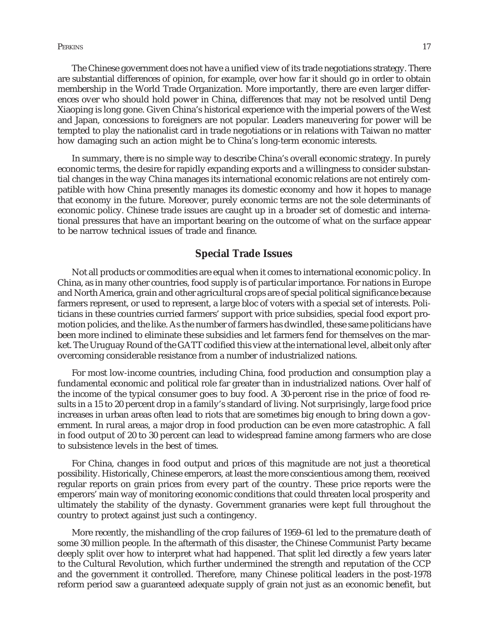Perkins the contract of the contract of the contract of the contract of the contract of the contract of the contract of the contract of the contract of the contract of the contract of the contract of the contract of the co

The Chinese government does not have a unified view of its trade negotiations strategy. There are substantial differences of opinion, for example, over how far it should go in order to obtain membership in the World Trade Organization. More importantly, there are even larger differences over who should hold power in China, differences that may not be resolved until Deng Xiaoping is long gone. Given China's historical experience with the imperial powers of the West and Japan, concessions to foreigners are not popular. Leaders maneuvering for power will be tempted to play the nationalist card in trade negotiations or in relations with Taiwan no matter how damaging such an action might be to China's long-term economic interests.

In summary, there is no simple way to describe China's overall economic strategy. In purely economic terms, the desire for rapidly expanding exports and a willingness to consider substantial changes in the way China manages its international economic relations are not entirely compatible with how China presently manages its domestic economy and how it hopes to manage that economy in the future. Moreover, purely economic terms are not the sole determinants of economic policy. Chinese trade issues are caught up in a broader set of domestic and international pressures that have an important bearing on the outcome of what on the surface appear to be narrow technical issues of trade and finance.

# **Special Trade Issues**

Not all products or commodities are equal when it comes to international economic policy. In China, as in many other countries, food supply is of particular importance. For nations in Europe and North America, grain and other agricultural crops are of special political significance because farmers represent, or used to represent, a large bloc of voters with a special set of interests. Politicians in these countries curried farmers' support with price subsidies, special food export promotion policies, and the like. As the number of farmers has dwindled, these same politicians have been more inclined to eliminate these subsidies and let farmers fend for themselves on the market. The Uruguay Round of the GATT codified this view at the international level, albeit only after overcoming considerable resistance from a number of industrialized nations.

For most low-income countries, including China, food production and consumption play a fundamental economic and political role far greater than in industrialized nations. Over half of the income of the typical consumer goes to buy food. A 30-percent rise in the price of food results in a 15 to 20 percent drop in a family's standard of living. Not surprisingly, large food price increases in urban areas often lead to riots that are sometimes big enough to bring down a government. In rural areas, a major drop in food production can be even more catastrophic. A fall in food output of 20 to 30 percent can lead to widespread famine among farmers who are close to subsistence levels in the best of times.

For China, changes in food output and prices of this magnitude are not just a theoretical possibility. Historically, Chinese emperors, at least the more conscientious among them, received regular reports on grain prices from every part of the country. These price reports were the emperors' main way of monitoring economic conditions that could threaten local prosperity and ultimately the stability of the dynasty. Government granaries were kept full throughout the country to protect against just such a contingency.

More recently, the mishandling of the crop failures of 1959–61 led to the premature death of some 30 million people. In the aftermath of this disaster, the Chinese Communist Party became deeply split over how to interpret what had happened. That split led directly a few years later to the Cultural Revolution, which further undermined the strength and reputation of the CCP and the government it controlled. Therefore, many Chinese political leaders in the post-1978 reform period saw a guaranteed adequate supply of grain not just as an economic benefit, but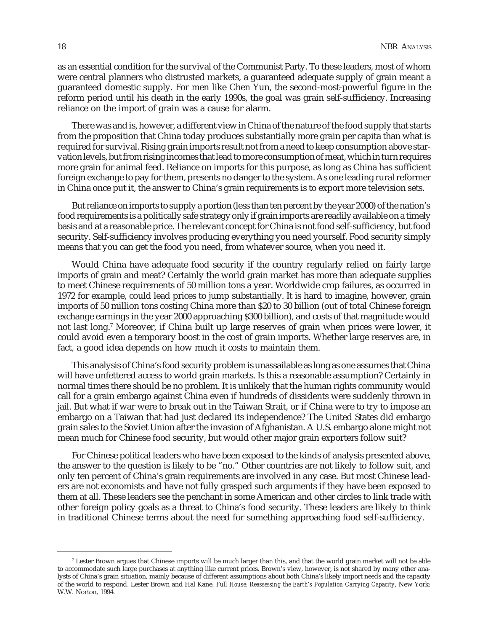as an essential condition for the survival of the Communist Party. To these leaders, most of whom were central planners who distrusted markets, a guaranteed adequate supply of grain meant a guaranteed domestic supply. For men like Chen Yun, the second-most-powerful figure in the reform period until his death in the early 1990s, the goal was grain self-sufficiency. Increasing reliance on the import of grain was a cause for alarm.

There was and is, however, a different view in China of the nature of the food supply that starts from the proposition that China today produces substantially more grain per capita than what is required for survival. Rising grain imports result not from a need to keep consumption above starvation levels, but from rising incomes that lead to more consumption of meat, which in turn requires more grain for animal feed. Reliance on imports for this purpose, as long as China has sufficient foreign exchange to pay for them, presents no danger to the system. As one leading rural reformer in China once put it, the answer to China's grain requirements is to export more television sets.

But reliance on imports to supply a portion (less than ten percent by the year 2000) of the nation's food requirements is a politically safe strategy only if grain imports are readily available on a timely basis and at a reasonable price. The relevant concept for China is not food self-sufficiency, but food security. Self-sufficiency involves producing everything you need yourself. Food security simply means that you can get the food you need, from whatever source, when you need it.

Would China have adequate food security if the country regularly relied on fairly large imports of grain and meat? Certainly the world grain market has more than adequate supplies to meet Chinese requirements of 50 million tons a year. Worldwide crop failures, as occurred in 1972 for example, could lead prices to jump substantially. It is hard to imagine, however, grain imports of 50 million tons costing China more than \$20 to 30 billion (out of total Chinese foreign exchange earnings in the year 2000 approaching \$300 billion), and costs of that magnitude would not last long.7 Moreover, if China built up large reserves of grain when prices were lower, it could avoid even a temporary boost in the cost of grain imports. Whether large reserves are, in fact, a good idea depends on how much it costs to maintain them.

This analysis of China's food security problem is unassailable as long as one assumes that China will have unfettered access to world grain markets. Is this a reasonable assumption? Certainly in normal times there should be no problem. It is unlikely that the human rights community would call for a grain embargo against China even if hundreds of dissidents were suddenly thrown in jail. But what if war were to break out in the Taiwan Strait, or if China were to try to impose an embargo on a Taiwan that had just declared its independence? The United States did embargo grain sales to the Soviet Union after the invasion of Afghanistan. A U.S. embargo alone might not mean much for Chinese food security, but would other major grain exporters follow suit?

For Chinese political leaders who have been exposed to the kinds of analysis presented above, the answer to the question is likely to be "no." Other countries are not likely to follow suit, and only ten percent of China's grain requirements are involved in any case. But most Chinese leaders are not economists and have not fully grasped such arguments if they have been exposed to them at all. These leaders see the penchant in some American and other circles to link trade with other foreign policy goals as a threat to China's food security. These leaders are likely to think in traditional Chinese terms about the need for something approaching food self-sufficiency.

 $^7$  Lester Brown argues that Chinese imports will be much larger than this, and that the world grain market will not be able to accommodate such large purchases at anything like current prices. Brown's view, however, is not shared by many other analysts of China's grain situation, mainly because of different assumptions about both China's likely import needs and the capacity of the world to respond. Lester Brown and Hal Kane, *Full House: Reassessing the Earth's Population Carrying Capacity*, New York: W.W. Norton, 1994.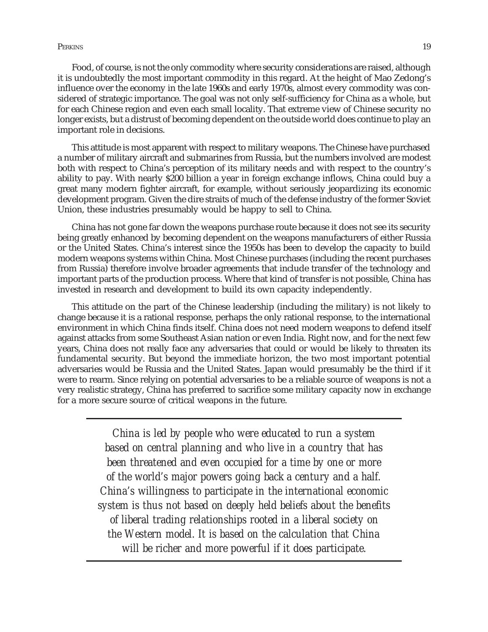#### Perkins the contract of the contract of the contract of the contract of the contract of the contract of the contract of the contract of the contract of the contract of the contract of the contract of the contract of the co

Food, of course, is not the only commodity where security considerations are raised, although it is undoubtedly the most important commodity in this regard. At the height of Mao Zedong's influence over the economy in the late 1960s and early 1970s, almost every commodity was considered of strategic importance. The goal was not only self-sufficiency for China as a whole, but for each Chinese region and even each small locality. That extreme view of Chinese security no longer exists, but a distrust of becoming dependent on the outside world does continue to play an important role in decisions.

This attitude is most apparent with respect to military weapons. The Chinese have purchased a number of military aircraft and submarines from Russia, but the numbers involved are modest both with respect to China's perception of its military needs and with respect to the country's ability to pay. With nearly \$200 billion a year in foreign exchange inflows, China could buy a great many modern fighter aircraft, for example, without seriously jeopardizing its economic development program. Given the dire straits of much of the defense industry of the former Soviet Union, these industries presumably would be happy to sell to China.

China has not gone far down the weapons purchase route because it does not see its security being greatly enhanced by becoming dependent on the weapons manufacturers of either Russia or the United States. China's interest since the 1950s has been to develop the capacity to build modern weapons systems within China. Most Chinese purchases (including the recent purchases from Russia) therefore involve broader agreements that include transfer of the technology and important parts of the production process. Where that kind of transfer is not possible, China has invested in research and development to build its own capacity independently.

This attitude on the part of the Chinese leadership (including the military) is not likely to change because it is a rational response, perhaps the only rational response, to the international environment in which China finds itself. China does not need modern weapons to defend itself against attacks from some Southeast Asian nation or even India. Right now, and for the next few years, China does not really face any adversaries that could or would be likely to threaten its fundamental security. But beyond the immediate horizon, the two most important potential adversaries would be Russia and the United States. Japan would presumably be the third if it were to rearm. Since relying on potential adversaries to be a reliable source of weapons is not a very realistic strategy, China has preferred to sacrifice some military capacity now in exchange for a more secure source of critical weapons in the future.

> *China is led by people who were educated to run a system based on central planning and who live in a country that has been threatened and even occupied for a time by one or more of the world's major powers going back a century and a half. China's willingness to participate in the international economic system is thus not based on deeply held beliefs about the benefits of liberal trading relationships rooted in a liberal society on the Western model. It is based on the calculation that China will be richer and more powerful if it does participate.*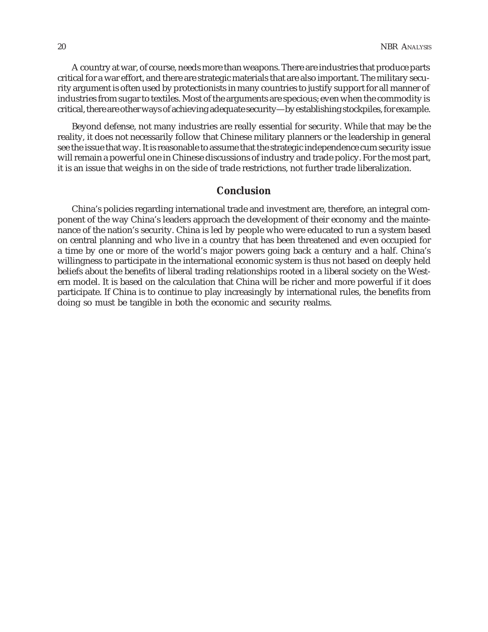A country at war, of course, needs more than weapons. There are industries that produce parts critical for a war effort, and there are strategic materials that are also important. The military security argument is often used by protectionists in many countries to justify support for all manner of industries from sugar to textiles. Most of the arguments are specious; even when the commodity is critical, there are other ways of achieving adequate security—by establishing stockpiles, for example.

Beyond defense, not many industries are really essential for security. While that may be the reality, it does not necessarily follow that Chinese military planners or the leadership in general see the issue that way. It is reasonable to assume that the strategic independence cum security issue will remain a powerful one in Chinese discussions of industry and trade policy. For the most part, it is an issue that weighs in on the side of trade restrictions, not further trade liberalization.

# **Conclusion**

China's policies regarding international trade and investment are, therefore, an integral component of the way China's leaders approach the development of their economy and the maintenance of the nation's security. China is led by people who were educated to run a system based on central planning and who live in a country that has been threatened and even occupied for a time by one or more of the world's major powers going back a century and a half. China's willingness to participate in the international economic system is thus not based on deeply held beliefs about the benefits of liberal trading relationships rooted in a liberal society on the Western model. It is based on the calculation that China will be richer and more powerful if it does participate. If China is to continue to play increasingly by international rules, the benefits from doing so must be tangible in both the economic and security realms.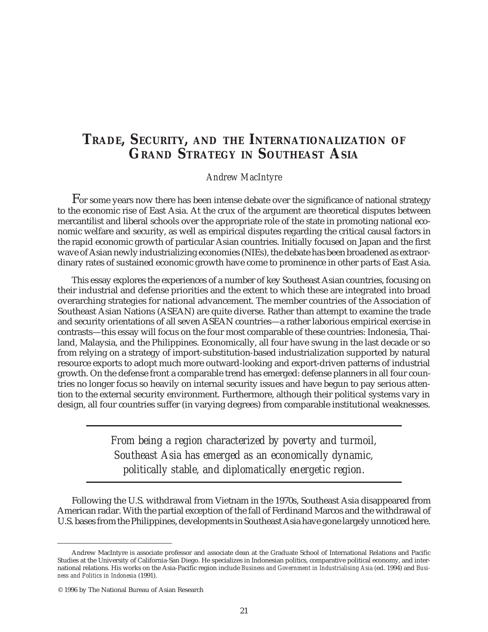# **TRADE, SECURITY, AND THE INTERNATIONALIZATION OF GRAND STRATEGY IN SOUTHEAST ASIA**

## *Andrew MacIntyre*

For some years now there has been intense debate over the significance of national strategy to the economic rise of East Asia. At the crux of the argument are theoretical disputes between mercantilist and liberal schools over the appropriate role of the state in promoting national economic welfare and security, as well as empirical disputes regarding the critical causal factors in the rapid economic growth of particular Asian countries. Initially focused on Japan and the first wave of Asian newly industrializing economies (NIEs), the debate has been broadened as extraordinary rates of sustained economic growth have come to prominence in other parts of East Asia.

This essay explores the experiences of a number of key Southeast Asian countries, focusing on their industrial and defense priorities and the extent to which these are integrated into broad overarching strategies for national advancement. The member countries of the Association of Southeast Asian Nations (ASEAN) are quite diverse. Rather than attempt to examine the trade and security orientations of all seven ASEAN countries—a rather laborious empirical exercise in contrasts—this essay will focus on the four most comparable of these countries: Indonesia, Thailand, Malaysia, and the Philippines. Economically, all four have swung in the last decade or so from relying on a strategy of import-substitution-based industrialization supported by natural resource exports to adopt much more outward-looking and export-driven patterns of industrial growth. On the defense front a comparable trend has emerged: defense planners in all four countries no longer focus so heavily on internal security issues and have begun to pay serious attention to the external security environment. Furthermore, although their political systems vary in design, all four countries suffer (in varying degrees) from comparable institutional weaknesses.

> *From being a region characterized by poverty and turmoil, Southeast Asia has emerged as an economically dynamic, politically stable, and diplomatically energetic region.*

Following the U.S. withdrawal from Vietnam in the 1970s, Southeast Asia disappeared from American radar. With the partial exception of the fall of Ferdinand Marcos and the withdrawal of U.S. bases from the Philippines, developments in Southeast Asia have gone largely unnoticed here.

Andrew MacIntyre is associate professor and associate dean at the Graduate School of International Relations and Pacific Studies at the University of California-San Diego. He specializes in Indonesian politics, comparative political economy, and international relations. His works on the Asia-Pacific region include *Business and Government in Industrialising Asia* (ed. 1994) and *Business and Politics in Indonesia* (1991).

<sup>© 1996</sup> by The National Bureau of Asian Research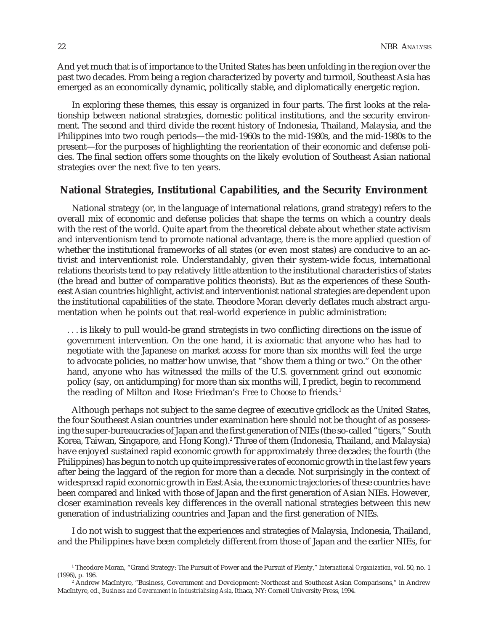And yet much that is of importance to the United States has been unfolding in the region over the past two decades. From being a region characterized by poverty and turmoil, Southeast Asia has emerged as an economically dynamic, politically stable, and diplomatically energetic region.

In exploring these themes, this essay is organized in four parts. The first looks at the relationship between national strategies, domestic political institutions, and the security environment. The second and third divide the recent history of Indonesia, Thailand, Malaysia, and the Philippines into two rough periods—the mid-1960s to the mid-1980s, and the mid-1980s to the present—for the purposes of highlighting the reorientation of their economic and defense policies. The final section offers some thoughts on the likely evolution of Southeast Asian national strategies over the next five to ten years.

# **National Strategies, Institutional Capabilities, and the Security Environment**

National strategy (or, in the language of international relations, grand strategy) refers to the overall mix of economic and defense policies that shape the terms on which a country deals with the rest of the world. Quite apart from the theoretical debate about whether state activism and interventionism tend to promote national advantage, there is the more applied question of whether the institutional frameworks of all states (or even most states) are conducive to an activist and interventionist role. Understandably, given their system-wide focus, international relations theorists tend to pay relatively little attention to the institutional characteristics of states (the bread and butter of comparative politics theorists). But as the experiences of these Southeast Asian countries highlight, activist and interventionist national strategies are dependent upon the institutional capabilities of the state. Theodore Moran cleverly deflates much abstract argumentation when he points out that real-world experience in public administration:

. . . is likely to pull would-be grand strategists in two conflicting directions on the issue of government intervention. On the one hand, it is axiomatic that anyone who has had to negotiate with the Japanese on market access for more than six months will feel the urge to advocate policies, no matter how unwise, that "show them a thing or two." On the other hand, anyone who has witnessed the mills of the U.S. government grind out economic policy (say, on antidumping) for more than six months will, I predict, begin to recommend the reading of Milton and Rose Friedman's *Free to Choose* to friends.1

Although perhaps not subject to the same degree of executive gridlock as the United States, the four Southeast Asian countries under examination here should not be thought of as possessing the super-bureaucracies of Japan and the first generation of NIEs (the so-called "tigers," South Korea, Taiwan, Singapore, and Hong Kong).<sup>2</sup> Three of them (Indonesia, Thailand, and Malaysia) have enjoyed sustained rapid economic growth for approximately three decades; the fourth (the Philippines) has begun to notch up quite impressive rates of economic growth in the last few years after being the laggard of the region for more than a decade. Not surprisingly in the context of widespread rapid economic growth in East Asia, the economic trajectories of these countries have been compared and linked with those of Japan and the first generation of Asian NIEs. However, closer examination reveals key differences in the overall national strategies between this new generation of industrializing countries and Japan and the first generation of NIEs.

I do not wish to suggest that the experiences and strategies of Malaysia, Indonesia, Thailand, and the Philippines have been completely different from those of Japan and the earlier NIEs, for

<sup>1</sup> Theodore Moran, "Grand Strategy: The Pursuit of Power and the Pursuit of Plenty," *International Organization*, vol. 50, no. 1 (1996), p. 196.

<sup>2</sup> Andrew MacIntyre, "Business, Government and Development: Northeast and Southeast Asian Comparisons," in Andrew MacIntyre, ed., *Business and Government in Industrialising Asia*, Ithaca, NY: Cornell University Press, 1994.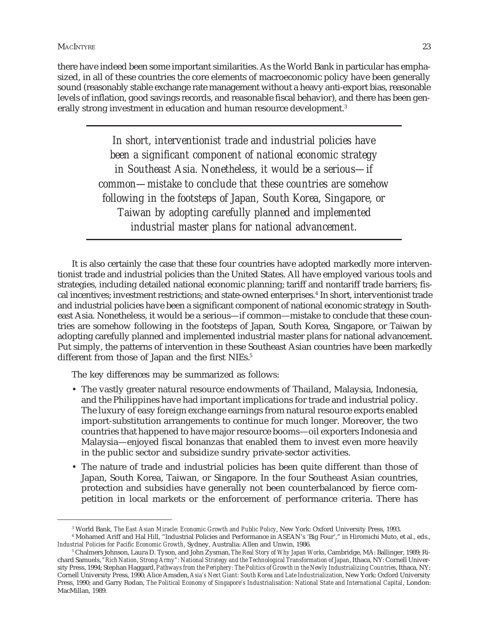there have indeed been some important similarities. As the World Bank in particular has emphasized, in all of these countries the core elements of macroeconomic policy have been generally sound (reasonably stable exchange rate management without a heavy anti-export bias, reasonable levels of inflation, good savings records, and reasonable fiscal behavior), and there has been generally strong investment in education and human resource development.<sup>3</sup>

> *In short, interventionist trade and industrial policies have been a significant component of national economic strategy in Southeast Asia. Nonetheless, it would be a serious—if common—mistake to conclude that these countries are somehow following in the footsteps of Japan, South Korea, Singapore, or Taiwan by adopting carefully planned and implemented industrial master plans for national advancement.*

It is also certainly the case that these four countries have adopted markedly more interventionist trade and industrial policies than the United States. All have employed various tools and strategies, including detailed national economic planning; tariff and nontariff trade barriers; fiscal incentives; investment restrictions; and state-owned enterprises.<sup>4</sup> In short, interventionist trade and industrial policies have been a significant component of national economic strategy in Southeast Asia. Nonetheless, it would be a serious—if common—mistake to conclude that these countries are somehow following in the footsteps of Japan, South Korea, Singapore, or Taiwan by adopting carefully planned and implemented industrial master plans for national advancement. Put simply, the patterns of intervention in these Southeast Asian countries have been markedly different from those of Japan and the first NIEs.<sup>5</sup>

The key differences may be summarized as follows:

- The vastly greater natural resource endowments of Thailand, Malaysia, Indonesia, and the Philippines have had important implications for trade and industrial policy. The luxury of easy foreign exchange earnings from natural resource exports enabled import-substitution arrangements to continue for much longer. Moreover, the two countries that happened to have major resource booms—oil exporters Indonesia and Malaysia—enjoyed fiscal bonanzas that enabled them to invest even more heavily in the public sector and subsidize sundry private-sector activities.
- The nature of trade and industrial policies has been quite different than those of Japan, South Korea, Taiwan, or Singapore. In the four Southeast Asian countries, protection and subsidies have generally not been counterbalanced by fierce competition in local markets or the enforcement of performance criteria. There has

<sup>3</sup> World Bank, *The East Asian Miracle: Economic Growth and Public Policy*, New York: Oxford University Press, 1993.

<sup>4</sup> Mohamed Ariff and Hal Hill, "Industrial Policies and Performance in ASEAN's 'Big Four'," in Hiromichi Muto, et al., eds., *Industrial Policies for Pacific Economic Growth*, Sydney, Australia: Allen and Unwin, 1986.

<sup>5</sup> Chalmers Johnson, Laura D. Tyson, and John Zysman, *The Real Story of Why Japan Works*, Cambridge, MA: Ballinger, 1989; Richard Samuels, *"Rich Nation, Strong Army": National Strategy and the Technological Transformation of Japan*, Ithaca, NY: Cornell University Press, 1994; Stephan Haggard, *Pathways from the Periphery: The Politics of Growth in the Newly Industrializing Countries*, Ithaca, NY: Cornell University Press, 1990; Alice Amsden, *Asia's Next Giant: South Korea and Late Industrialization*, New York: Oxford University Press, 1990; and Garry Rodan, *The Political Economy of Singapore's Industrialisation: National State and International Capital*, London: MacMillan, 1989.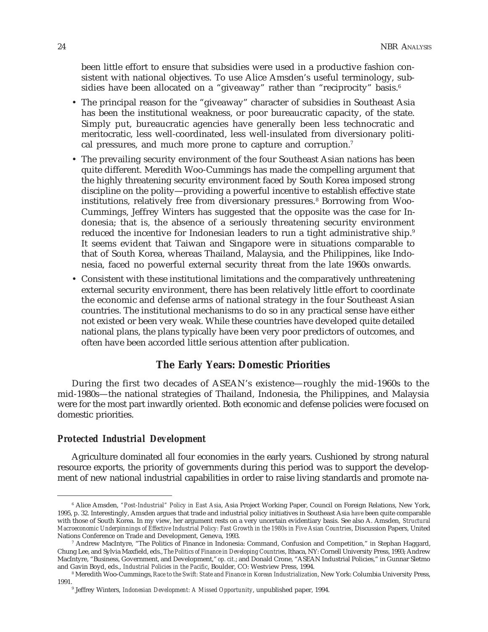been little effort to ensure that subsidies were used in a productive fashion consistent with national objectives. To use Alice Amsden's useful terminology, subsidies have been allocated on a "giveaway" rather than "reciprocity" basis.<sup>6</sup>

- The principal reason for the "giveaway" character of subsidies in Southeast Asia has been the institutional weakness, or poor bureaucratic capacity, of the state. Simply put, bureaucratic agencies have generally been less technocratic and meritocratic, less well-coordinated, less well-insulated from diversionary political pressures, and much more prone to capture and corruption.<sup>7</sup>
- The prevailing security environment of the four Southeast Asian nations has been quite different. Meredith Woo-Cummings has made the compelling argument that the highly threatening security environment faced by South Korea imposed strong discipline on the polity—providing a powerful incentive to establish effective state institutions, relatively free from diversionary pressures.<sup>8</sup> Borrowing from Woo-Cummings, Jeffrey Winters has suggested that the opposite was the case for Indonesia; that is, the absence of a seriously threatening security environment reduced the incentive for Indonesian leaders to run a tight administrative ship.<sup>9</sup> It seems evident that Taiwan and Singapore were in situations comparable to that of South Korea, whereas Thailand, Malaysia, and the Philippines, like Indonesia, faced no powerful external security threat from the late 1960s onwards.
- Consistent with these institutional limitations and the comparatively unthreatening external security environment, there has been relatively little effort to coordinate the economic and defense arms of national strategy in the four Southeast Asian countries. The institutional mechanisms to do so in any practical sense have either not existed or been very weak. While these countries have developed quite detailed national plans, the plans typically have been very poor predictors of outcomes, and often have been accorded little serious attention after publication.

# **The Early Years: Domestic Priorities**

During the first two decades of ASEAN's existence—roughly the mid-1960s to the mid-1980s—the national strategies of Thailand, Indonesia, the Philippines, and Malaysia were for the most part inwardly oriented. Both economic and defense policies were focused on domestic priorities.

### *Protected Industrial Development*

Agriculture dominated all four economies in the early years. Cushioned by strong natural resource exports, the priority of governments during this period was to support the development of new national industrial capabilities in order to raise living standards and promote na-

<sup>6</sup> Alice Amsden, *"Post-Industrial" Policy in East Asia*, Asia Project Working Paper, Council on Foreign Relations, New York, 1995, p. 32. Interestingly, Amsden argues that trade and industrial policy initiatives in Southeast Asia *have* been quite comparable with those of South Korea. In my view, her argument rests on a very uncertain evidentiary basis. See also A. Amsden, *Structural Macroeconomic Underpinnings of Effective Industrial Policy: Fast Growth in the 1980s in Five Asian Countries*, Discussion Papers, United Nations Conference on Trade and Development, Geneva, 1993.

<sup>7</sup> Andrew MacIntyre, "The Politics of Finance in Indonesia: Command, Confusion and Competition," in Stephan Haggard, Chung Lee, and Sylvia Maxfield, eds., *The Politics of Finance in Developing Countries*, Ithaca, NY: Cornell University Press, 1993; Andrew MacIntyre, "Business, Government, and Development," *op. cit.*; and Donald Crone, "ASEAN Industrial Policies," in Gunnar Sletmo and Gavin Boyd, eds., *Industrial Policies in the Pacific*, Boulder, CO: Westview Press, 1994.

<sup>8</sup> Meredith Woo-Cummings, *Race to the Swift: State and Finance in Korean Industrialization*, New York: Columbia University Press, 1991.

Jeffrey Winters, *Indonesian Development: A Missed Opportunity*, unpublished paper, 1994.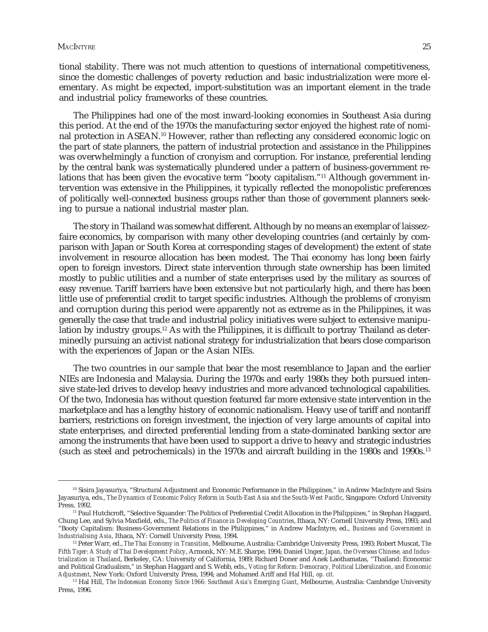tional stability. There was not much attention to questions of international competitiveness, since the domestic challenges of poverty reduction and basic industrialization were more elementary. As might be expected, import-substitution was an important element in the trade and industrial policy frameworks of these countries.

The Philippines had one of the most inward-looking economies in Southeast Asia during this period. At the end of the 1970s the manufacturing sector enjoyed the highest rate of nominal protection in ASEAN.10 However, rather than reflecting any considered economic logic on the part of state planners, the pattern of industrial protection and assistance in the Philippines was overwhelmingly a function of cronyism and corruption. For instance, preferential lending by the central bank was systematically plundered under a pattern of business-government relations that has been given the evocative term "booty capitalism."<sup>11</sup> Although government intervention was extensive in the Philippines, it typically reflected the monopolistic preferences of politically well-connected business groups rather than those of government planners seeking to pursue a national industrial master plan.

The story in Thailand was somewhat different. Although by no means an exemplar of laissezfaire economics, by comparison with many other developing countries (and certainly by comparison with Japan or South Korea at corresponding stages of development) the extent of state involvement in resource allocation has been modest. The Thai economy has long been fairly open to foreign investors. Direct state intervention through state ownership has been limited mostly to public utilities and a number of state enterprises used by the military as sources of easy revenue. Tariff barriers have been extensive but not particularly high, and there has been little use of preferential credit to target specific industries. Although the problems of cronyism and corruption during this period were apparently not as extreme as in the Philippines, it was generally the case that trade and industrial policy initiatives were subject to extensive manipulation by industry groups.12 As with the Philippines, it is difficult to portray Thailand as determinedly pursuing an activist national strategy for industrialization that bears close comparison with the experiences of Japan or the Asian NIEs.

The two countries in our sample that bear the most resemblance to Japan and the earlier NIEs are Indonesia and Malaysia. During the 1970s and early 1980s they both pursued intensive state-led drives to develop heavy industries and more advanced technological capabilities. Of the two, Indonesia has without question featured far more extensive state intervention in the marketplace and has a lengthy history of economic nationalism. Heavy use of tariff and nontariff barriers, restrictions on foreign investment, the injection of very large amounts of capital into state enterprises, and directed preferential lending from a state-dominated banking sector are among the instruments that have been used to support a drive to heavy and strategic industries (such as steel and petrochemicals) in the 1970s and aircraft building in the 1980s and 1990s.13

<sup>10</sup> Sisira Jayasuriya, "Structural Adjustment and Economic Performance in the Philippines," in Andrew MacIntyre and Sisira Jayasuriya, eds., *The Dynamics of Economic Policy Reform in South-East Asia and the South-West Pacific*, Singapore: Oxford University Press, 1992.

<sup>&</sup>lt;sup>11</sup> Paul Hutchcroft, "Selective Squander: The Politics of Preferential Credit Allocation in the Philippines," in Stephan Haggard, Chung Lee, and Sylvia Maxfield, eds., *The Politics of Finance in Developing Countries*, Ithaca, NY: Cornell University Press, 1993; and "Booty Capitalism: Business-Government Relations in the Philippines," in Andrew MacIntyre, ed., *Business and Government in Industrialising Asia*, Ithaca, NY: Cornell University Press, 1994.

<sup>12</sup> Peter Warr, ed., *The Thai Economy in Transition*, Melbourne, Australia: Cambridge University Press, 1993; Robert Muscat, *The Fifth Tiger: A Study of Thai Development Policy*, Armonk, NY: M.E. Sharpe, 1994; Daniel Unger, *Japan, the Overseas Chinese, and Industrialization in Thailand*, Berkeley, CA: University of California, 1989; Richard Doner and Anek Laothamatas, "Thailand: Economic and Political Gradualism," in Stephan Haggard and S. Webb, eds., *Voting for Reform: Democracy, Political Liberalization, and Economic Adjustment*, New York: Oxford University Press, 1994; and Mohamed Ariff and Hal Hill, *op. cit.*

<sup>&</sup>lt;sup>13</sup> Hal Hill, *The Indonesian Economy Since 1966: Southeast Asia's Emerging Giant*, Melbourne, Australia: Cambridge University Press, 1996.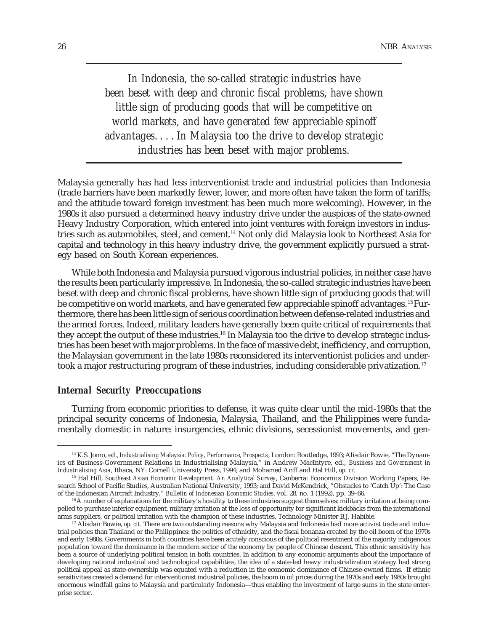*In Indonesia, the so-called strategic industries have been beset with deep and chronic fiscal problems, have shown little sign of producing goods that will be competitive on world markets, and have generated few appreciable spinoff advantages. . . . In Malaysia too the drive to develop strategic industries has been beset with major problems.*

Malaysia generally has had less interventionist trade and industrial policies than Indonesia (trade barriers have been markedly fewer, lower, and more often have taken the form of tariffs; and the attitude toward foreign investment has been much more welcoming). However, in the 1980s it also pursued a determined heavy industry drive under the auspices of the state-owned Heavy Industry Corporation, which entered into joint ventures with foreign investors in industries such as automobiles, steel, and cement.14 Not only did Malaysia look to Northeast Asia for capital and technology in this heavy industry drive, the government explicitly pursued a strategy based on South Korean experiences.

While both Indonesia and Malaysia pursued vigorous industrial policies, in neither case have the results been particularly impressive. In Indonesia, the so-called strategic industries have been beset with deep and chronic fiscal problems, have shown little sign of producing goods that will be competitive on world markets, and have generated few appreciable spinoff advantages. 15 Furthermore, there has been little sign of serious coordination between defense-related industries and the armed forces. Indeed, military leaders have generally been quite critical of requirements that they accept the output of these industries.16 In Malaysia too the drive to develop strategic industries has been beset with major problems. In the face of massive debt, inefficiency, and corruption, the Malaysian government in the late 1980s reconsidered its interventionist policies and undertook a major restructuring program of these industries, including considerable privatization.17

### *Internal Security Preoccupations*

Turning from economic priorities to defense, it was quite clear until the mid-1980s that the principal security concerns of Indonesia, Malaysia, Thailand, and the Philippines were fundamentally domestic in nature: insurgencies, ethnic divisions, secessionist movements, and gen-

<sup>14</sup> K.S. Jomo, ed., *Industrialising Malaysia: Policy, Performance, Prospects*, London: Routledge, 1993; Alisdair Bowie, "The Dynamics of Business-Government Relations in Industrialising Malaysia," in Andrew MacIntyre, ed., *Business and Government in Industrialising Asia*, Ithaca, NY: Cornell University Press, 1994; and Mohamed Ariff and Hal Hill, *op. cit.*

<sup>15</sup> Hal Hill, *Southeast Asian Economic Development: An Analytical Survey*, Canberra: Economics Division Working Papers, Research School of Pacific Studies, Australian National University, 1993; and David McKendrick, "Obstacles to 'Catch Up': The Case of the Indonesian Aircraft Industry," *Bulletin of Indonesian Economic Studies*, vol. 28, no. 1 (1992), pp. 39–66.

<sup>16</sup> A number of explanations for the military's hostility to these industries suggest themselves: military irritation at being compelled to purchase inferior equipment, military irritation at the loss of opportunity for significant kickbacks from the international arms suppliers, or political irritation with the champion of these industries, Technology Minister B.J. Habibie.

<sup>&</sup>lt;sup>17</sup> Alisdair Bowie, *op. cit.* There are two outstanding reasons why Malaysia and Indonesia had more activist trade and industrial policies than Thailand or the Philippines: the politics of ethnicity, and the fiscal bonanza created by the oil boom of the 1970s and early 1980s. Governments in both countries have been acutely conscious of the political resentment of the majority indigenous population toward the dominance in the modern sector of the economy by people of Chinese descent. This ethnic sensitivity has been a source of underlying political tension in both countries. In addition to any economic arguments about the importance of developing national industrial and technological capabilities, the idea of a state-led heavy industrialization strategy had strong political appeal as state-ownership was equated with a reduction in the economic dominance of Chinese-owned firms. If ethnic sensitivities created a demand for interventionist industrial policies, the boom in oil prices during the 1970s and early 1980s brought enormous windfall gains to Malaysia and particularly Indonesia—thus enabling the investment of large sums in the state enterprise sector.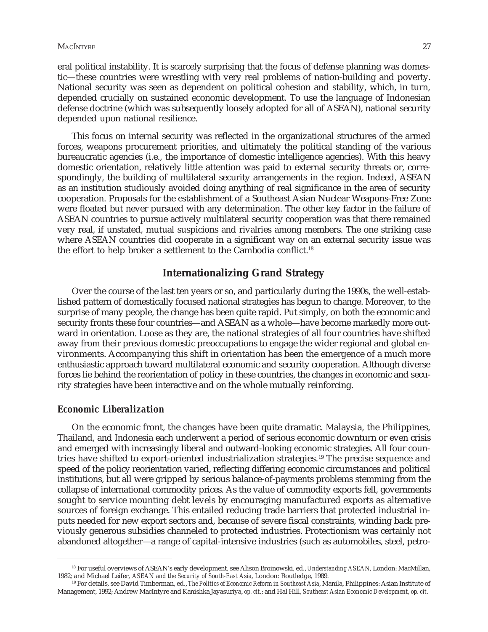#### MACINTYRE 27

eral political instability. It is scarcely surprising that the focus of defense planning was domestic—these countries were wrestling with very real problems of nation-building and poverty. National security was seen as dependent on political cohesion and stability, which, in turn, depended crucially on sustained economic development. To use the language of Indonesian defense doctrine (which was subsequently loosely adopted for all of ASEAN), national security depended upon national resilience.

This focus on internal security was reflected in the organizational structures of the armed forces, weapons procurement priorities, and ultimately the political standing of the various bureaucratic agencies (i.e., the importance of domestic intelligence agencies). With this heavy domestic orientation, relatively little attention was paid to external security threats or, correspondingly, the building of multilateral security arrangements in the region. Indeed, ASEAN as an institution studiously avoided doing anything of real significance in the area of security cooperation. Proposals for the establishment of a Southeast Asian Nuclear Weapons-Free Zone were floated but never pursued with any determination. The other key factor in the failure of ASEAN countries to pursue actively multilateral security cooperation was that there remained very real, if unstated, mutual suspicions and rivalries among members. The one striking case where ASEAN countries did cooperate in a significant way on an external security issue was the effort to help broker a settlement to the Cambodia conflict.18

# **Internationalizing Grand Strategy**

Over the course of the last ten years or so, and particularly during the 1990s, the well-established pattern of domestically focused national strategies has begun to change. Moreover, to the surprise of many people, the change has been quite rapid. Put simply, on both the economic and security fronts these four countries—and ASEAN as a whole—have become markedly more outward in orientation. Loose as they are, the national strategies of all four countries have shifted away from their previous domestic preoccupations to engage the wider regional and global environments. Accompanying this shift in orientation has been the emergence of a much more enthusiastic approach toward multilateral economic and security cooperation. Although diverse forces lie behind the reorientation of policy in these countries, the changes in economic and security strategies have been interactive and on the whole mutually reinforcing.

#### *Economic Liberalization*

On the economic front, the changes have been quite dramatic. Malaysia, the Philippines, Thailand, and Indonesia each underwent a period of serious economic downturn or even crisis and emerged with increasingly liberal and outward-looking economic strategies. All four countries have shifted to export-oriented industrialization strategies.<sup>19</sup> The precise sequence and speed of the policy reorientation varied, reflecting differing economic circumstances and political institutions, but all were gripped by serious balance-of-payments problems stemming from the collapse of international commodity prices. As the value of commodity exports fell, governments sought to service mounting debt levels by encouraging manufactured exports as alternative sources of foreign exchange. This entailed reducing trade barriers that protected industrial inputs needed for new export sectors and, because of severe fiscal constraints, winding back previously generous subsidies channeled to protected industries. Protectionism was certainly not abandoned altogether—a range of capital-intensive industries (such as automobiles, steel, petro-

<sup>18</sup> For useful overviews of ASEAN's early development, see Alison Broinowski, ed., *Understanding ASEAN*, London: MacMillan, 1982; and Michael Leifer, *ASEAN and the Security of South-East Asia*, London: Routledge, 1989.

<sup>19</sup> For details, see David Timberman, ed., *The Politics of Economic Reform in Southeast Asia*, Manila, Philippines: Asian Institute of Management, 1992; Andrew MacIntyre and Kanishka Jayasuriya, *op. cit*.; and Hal Hill, *Southeast Asian Economic Development, op. cit.*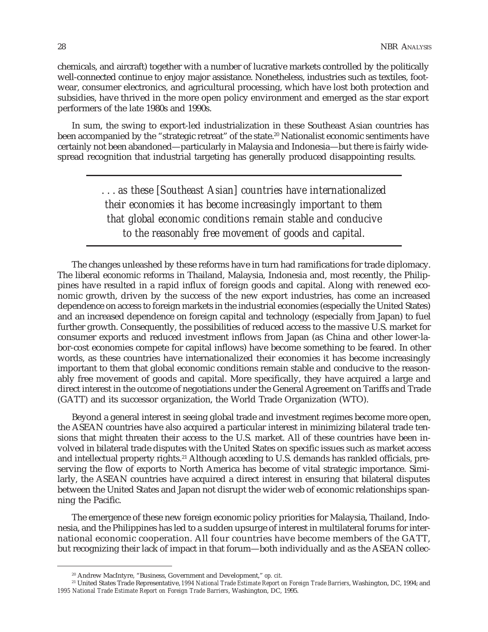chemicals, and aircraft) together with a number of lucrative markets controlled by the politically well-connected continue to enjoy major assistance. Nonetheless, industries such as textiles, footwear, consumer electronics, and agricultural processing, which have lost both protection and subsidies, have thrived in the more open policy environment and emerged as the star export performers of the late 1980s and 1990s.

In sum, the swing to export-led industrialization in these Southeast Asian countries has been accompanied by the "strategic retreat" of the state.<sup>20</sup> Nationalist economic sentiments have certainly not been abandoned—particularly in Malaysia and Indonesia—but there is fairly widespread recognition that industrial targeting has generally produced disappointing results.

> *. . . as these [Southeast Asian] countries have internationalized their economies it has become increasingly important to them that global economic conditions remain stable and conducive to the reasonably free movement of goods and capital.*

The changes unleashed by these reforms have in turn had ramifications for trade diplomacy. The liberal economic reforms in Thailand, Malaysia, Indonesia and, most recently, the Philippines have resulted in a rapid influx of foreign goods and capital. Along with renewed economic growth, driven by the success of the new export industries, has come an increased dependence on access to foreign markets in the industrial economies (especially the United States) and an increased dependence on foreign capital and technology (especially from Japan) to fuel further growth. Consequently, the possibilities of reduced access to the massive U.S. market for consumer exports and reduced investment inflows from Japan (as China and other lower-labor-cost economies compete for capital inflows) have become something to be feared. In other words, as these countries have internationalized their economies it has become increasingly important to them that global economic conditions remain stable and conducive to the reasonably free movement of goods and capital. More specifically, they have acquired a large and direct interest in the outcome of negotiations under the General Agreement on Tariffs and Trade (GATT) and its successor organization, the World Trade Organization (WTO).

Beyond a general interest in seeing global trade and investment regimes become more open, the ASEAN countries have also acquired a particular interest in minimizing bilateral trade tensions that might threaten their access to the U.S. market. All of these countries have been involved in bilateral trade disputes with the United States on specific issues such as market access and intellectual property rights.<sup>21</sup> Although acceding to U.S. demands has rankled officials, preserving the flow of exports to North America has become of vital strategic importance. Similarly, the ASEAN countries have acquired a direct interest in ensuring that bilateral disputes between the United States and Japan not disrupt the wider web of economic relationships spanning the Pacific.

The emergence of these new foreign economic policy priorities for Malaysia, Thailand, Indonesia, and the Philippines has led to a sudden upsurge of interest in multilateral forums for international economic cooperation. All four countries have become members of the GATT, but recognizing their lack of impact in that forum—both individually and as the ASEAN collec-

<sup>20</sup> Andrew MacIntyre, "Business, Government and Development," *op. cit.*

<sup>21</sup> United States Trade Representative, *1994 National Trade Estimate Report on Foreign Trade Barriers*, Washington, DC, 1994; and *1995 National Trade Estimate Report on Foreign Trade Barriers*, Washington, DC, 1995.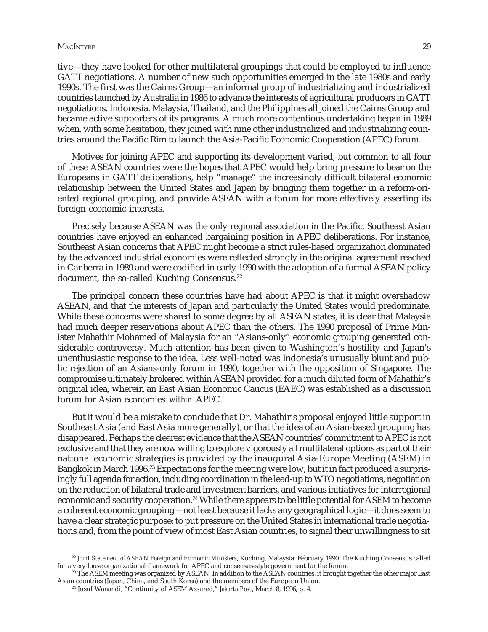#### MACINTYRE 29 NOTES AND RESERVE TO A SERVER A SERVER OF THE SERVER OF STREET AND RESERVE TO A SERVER OF THE SERVER OF THE SERVER OF THE SERVER OF THE SERVER OF THE SERVER OF THE SERVER OF THE SERVER OF THE SERVER OF THE SER

tive—they have looked for other multilateral groupings that could be employed to influence GATT negotiations. A number of new such opportunities emerged in the late 1980s and early 1990s. The first was the Cairns Group—an informal group of industrializing and industrialized countries launched by Australia in 1986 to advance the interests of agricultural producers in GATT negotiations. Indonesia, Malaysia, Thailand, and the Philippines all joined the Cairns Group and became active supporters of its programs. A much more contentious undertaking began in 1989 when, with some hesitation, they joined with nine other industrialized and industrializing countries around the Pacific Rim to launch the Asia-Pacific Economic Cooperation (APEC) forum.

Motives for joining APEC and supporting its development varied, but common to all four of these ASEAN countries were the hopes that APEC would help bring pressure to bear on the Europeans in GATT deliberations, help "manage" the increasingly difficult bilateral economic relationship between the United States and Japan by bringing them together in a reform-oriented regional grouping, and provide ASEAN with a forum for more effectively asserting its foreign economic interests.

Precisely because ASEAN was the only regional association in the Pacific, Southeast Asian countries have enjoyed an enhanced bargaining position in APEC deliberations. For instance, Southeast Asian concerns that APEC might become a strict rules-based organization dominated by the advanced industrial economies were reflected strongly in the original agreement reached in Canberra in 1989 and were codified in early 1990 with the adoption of a formal ASEAN policy document, the so-called Kuching Consensus.<sup>22</sup>

The principal concern these countries have had about APEC is that it might overshadow ASEAN, and that the interests of Japan and particularly the United States would predominate. While these concerns were shared to some degree by all ASEAN states, it is clear that Malaysia had much deeper reservations about APEC than the others. The 1990 proposal of Prime Minister Mahathir Mohamed of Malaysia for an "Asians-only" economic grouping generated considerable controversy. Much attention has been given to Washington's hostility and Japan's unenthusiastic response to the idea. Less well-noted was Indonesia's unusually blunt and public rejection of an Asians-only forum in 1990, together with the opposition of Singapore. The compromise ultimately brokered within ASEAN provided for a much diluted form of Mahathir's original idea, wherein an East Asian Economic Caucus (EAEC) was established as a discussion forum for Asian economies *within* APEC.

But it would be a mistake to conclude that Dr. Mahathir's proposal enjoyed little support in Southeast Asia (and East Asia more generally), or that the idea of an Asian-based grouping has disappeared. Perhaps the clearest evidence that the ASEAN countries' commitment to APEC is not exclusive and that they are now willing to explore vigorously all multilateral options as part of their national economic strategies is provided by the inaugural Asia-Europe Meeting (ASEM) in Bangkok in March 1996.<sup>23</sup> Expectations for the meeting were low, but it in fact produced a surprisingly full agenda for action, including coordination in the lead-up to WTO negotiations, negotiation on the reduction of bilateral trade and investment barriers, and various initiatives for interregional economic and security cooperation.<sup>24</sup> While there appears to be little potential for ASEM to become a coherent economic grouping—not least because it lacks any geographical logic—it does seem to have a clear strategic purpose: to put pressure on the United States in international trade negotiations and, from the point of view of most East Asian countries, to signal their unwillingness to sit

<sup>22</sup> *Joint Statement of ASEAN Foreign and Economic Ministers*, Kuching, Malaysia: February 1990. The Kuching Consensus called for a very loose organizational framework for APEC and consensus-style government for the forum.

<sup>&</sup>lt;sup>23</sup> The ASEM meeting was organized by ASEAN. In addition to the ASEAN countries, it brought together the other major East Asian countries (Japan, China, and South Korea) and the members of the European Union.

<sup>24</sup> Jusuf Wanandi, "Continuity of ASEM Assured," *Jakarta Post*, March 8, 1996, p. 4.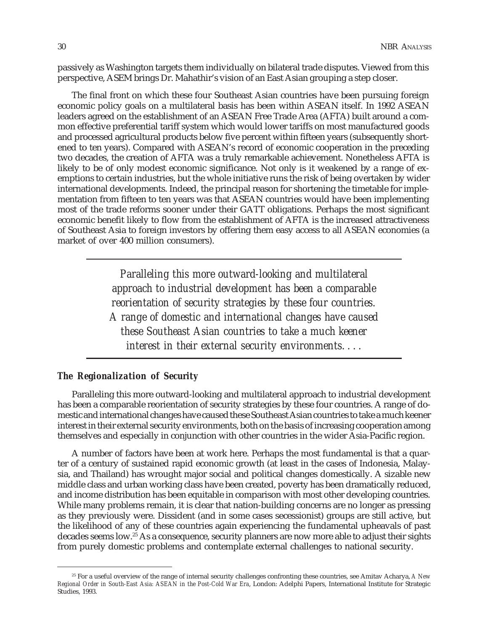passively as Washington targets them individually on bilateral trade disputes. Viewed from this perspective, ASEM brings Dr. Mahathir's vision of an East Asian grouping a step closer.

The final front on which these four Southeast Asian countries have been pursuing foreign economic policy goals on a multilateral basis has been within ASEAN itself. In 1992 ASEAN leaders agreed on the establishment of an ASEAN Free Trade Area (AFTA) built around a common effective preferential tariff system which would lower tariffs on most manufactured goods and processed agricultural products below five percent within fifteen years (subsequently shortened to ten years). Compared with ASEAN's record of economic cooperation in the preceding two decades, the creation of AFTA was a truly remarkable achievement. Nonetheless AFTA is likely to be of only modest economic significance. Not only is it weakened by a range of exemptions to certain industries, but the whole initiative runs the risk of being overtaken by wider international developments. Indeed, the principal reason for shortening the timetable for implementation from fifteen to ten years was that ASEAN countries would have been implementing most of the trade reforms sooner under their GATT obligations. Perhaps the most significant economic benefit likely to flow from the establishment of AFTA is the increased attractiveness of Southeast Asia to foreign investors by offering them easy access to all ASEAN economies (a market of over 400 million consumers).

> *Paralleling this more outward-looking and multilateral approach to industrial development has been a comparable reorientation of security strategies by these four countries. A range of domestic and international changes have caused these Southeast Asian countries to take a much keener interest in their external security environments. . . .*

#### *The Regionalization of Security*

Paralleling this more outward-looking and multilateral approach to industrial development has been a comparable reorientation of security strategies by these four countries. A range of domestic and international changes have caused these Southeast Asian countries to take a much keener interest in their external security environments, both on the basis of increasing cooperation among themselves and especially in conjunction with other countries in the wider Asia-Pacific region.

A number of factors have been at work here. Perhaps the most fundamental is that a quarter of a century of sustained rapid economic growth (at least in the cases of Indonesia, Malaysia, and Thailand) has wrought major social and political changes domestically. A sizable new middle class and urban working class have been created, poverty has been dramatically reduced, and income distribution has been equitable in comparison with most other developing countries. While many problems remain, it is clear that nation-building concerns are no longer as pressing as they previously were. Dissident (and in some cases secessionist) groups are still active, but the likelihood of any of these countries again experiencing the fundamental upheavals of past decades seems low.25 As a consequence, security planners are now more able to adjust their sights from purely domestic problems and contemplate external challenges to national security.

<sup>25</sup> For a useful overview of the range of internal security challenges confronting these countries, see Amitav Acharya, *A New Regional Order in South-East Asia: ASEAN in the Post-Cold War Era*, London: Adelphi Papers, International Institute for Strategic Studies, 1993.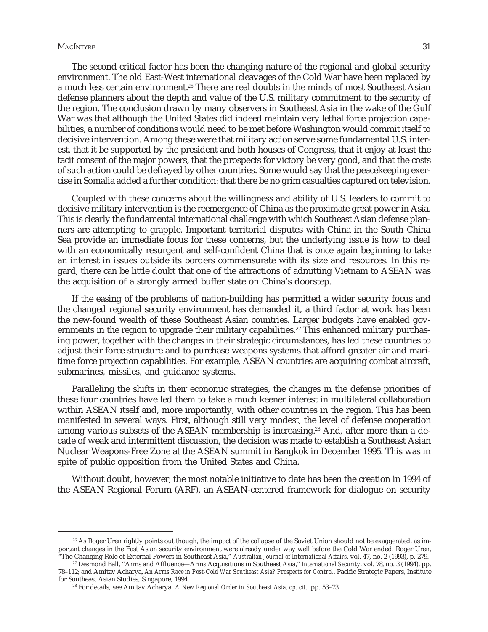#### MACINTYRE 31

The second critical factor has been the changing nature of the regional and global security environment. The old East-West international cleavages of the Cold War have been replaced by a much less certain environment.<sup>26</sup> There are real doubts in the minds of most Southeast Asian defense planners about the depth and value of the U.S. military commitment to the security of the region. The conclusion drawn by many observers in Southeast Asia in the wake of the Gulf War was that although the United States did indeed maintain very lethal force projection capabilities, a number of conditions would need to be met before Washington would commit itself to decisive intervention. Among these were that military action serve some fundamental U.S. interest, that it be supported by the president and both houses of Congress, that it enjoy at least the tacit consent of the major powers, that the prospects for victory be very good, and that the costs of such action could be defrayed by other countries. Some would say that the peacekeeping exercise in Somalia added a further condition: that there be no grim casualties captured on television.

Coupled with these concerns about the willingness and ability of U.S. leaders to commit to decisive military intervention is the reemergence of China as the proximate great power in Asia. This is clearly the fundamental international challenge with which Southeast Asian defense planners are attempting to grapple. Important territorial disputes with China in the South China Sea provide an immediate focus for these concerns, but the underlying issue is how to deal with an economically resurgent and self-confident China that is once again beginning to take an interest in issues outside its borders commensurate with its size and resources. In this regard, there can be little doubt that one of the attractions of admitting Vietnam to ASEAN was the acquisition of a strongly armed buffer state on China's doorstep.

If the easing of the problems of nation-building has permitted a wider security focus and the changed regional security environment has demanded it, a third factor at work has been the new-found wealth of these Southeast Asian countries. Larger budgets have enabled governments in the region to upgrade their military capabilities.<sup>27</sup> This enhanced military purchasing power, together with the changes in their strategic circumstances, has led these countries to adjust their force structure and to purchase weapons systems that afford greater air and maritime force projection capabilities. For example, ASEAN countries are acquiring combat aircraft, submarines, missiles, and guidance systems.

Paralleling the shifts in their economic strategies, the changes in the defense priorities of these four countries have led them to take a much keener interest in multilateral collaboration within ASEAN itself and, more importantly, with other countries in the region. This has been manifested in several ways. First, although still very modest, the level of defense cooperation among various subsets of the ASEAN membership is increasing.28 And, after more than a decade of weak and intermittent discussion, the decision was made to establish a Southeast Asian Nuclear Weapons-Free Zone at the ASEAN summit in Bangkok in December 1995. This was in spite of public opposition from the United States and China.

Without doubt, however, the most notable initiative to date has been the creation in 1994 of the ASEAN Regional Forum (ARF), an ASEAN-centered framework for dialogue on security

<sup>&</sup>lt;sup>26</sup> As Roger Uren rightly points out though, the impact of the collapse of the Soviet Union should not be exaggerated, as important changes in the East Asian security environment were already under way well before the Cold War ended. Roger Uren, "The Changing Role of External Powers in Southeast Asia," *Australian Journal of International Affairs*, vol. 47, no. 2 (1993), p. 279.

<sup>27</sup> Desmond Ball, "Arms and Affluence—Arms Acquisitions in Southeast Asia," *International Security*, vol. 78, no. 3 (1994), pp. 78–112; and Amitav Acharya, *An Arms Race in Post-Cold War Southeast Asia? Prospects for Control*, Pacific Strategic Papers, Institute for Southeast Asian Studies, Singapore, 1994.

<sup>28</sup> For details, see Amitav Acharya, *A New Regional Order in Southeast Asia, op. cit*., pp. 53–73.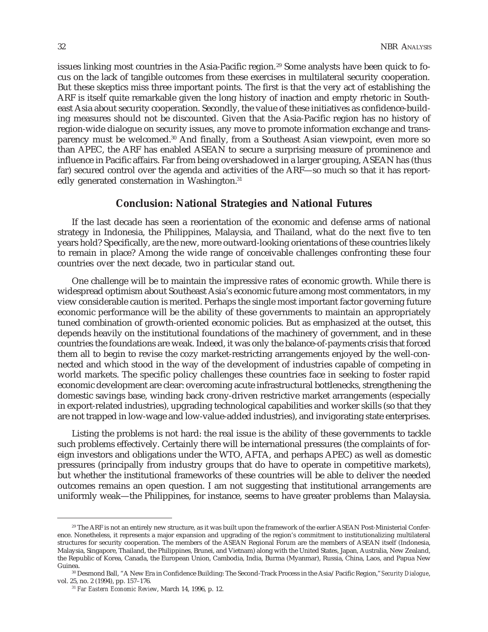issues linking most countries in the Asia-Pacific region.<sup>29</sup> Some analysts have been quick to focus on the lack of tangible outcomes from these exercises in multilateral security cooperation. But these skeptics miss three important points. The first is that the very act of establishing the ARF is itself quite remarkable given the long history of inaction and empty rhetoric in Southeast Asia about security cooperation. Secondly, the value of these initiatives as confidence-building measures should not be discounted. Given that the Asia-Pacific region has no history of region-wide dialogue on security issues, any move to promote information exchange and transparency must be welcomed.30 And finally, from a Southeast Asian viewpoint, even more so than APEC, the ARF has enabled ASEAN to secure a surprising measure of prominence and influence in Pacific affairs. Far from being overshadowed in a larger grouping, ASEAN has (thus far) secured control over the agenda and activities of the ARF—so much so that it has reportedly generated consternation in Washington.<sup>31</sup>

## **Conclusion: National Strategies and National Futures**

If the last decade has seen a reorientation of the economic and defense arms of national strategy in Indonesia, the Philippines, Malaysia, and Thailand, what do the next five to ten years hold? Specifically, are the new, more outward-looking orientations of these countries likely to remain in place? Among the wide range of conceivable challenges confronting these four countries over the next decade, two in particular stand out.

One challenge will be to maintain the impressive rates of economic growth. While there is widespread optimism about Southeast Asia's economic future among most commentators, in my view considerable caution is merited. Perhaps the single most important factor governing future economic performance will be the ability of these governments to maintain an appropriately tuned combination of growth-oriented economic policies. But as emphasized at the outset, this depends heavily on the institutional foundations of the machinery of government, and in these countries the foundations are weak. Indeed, it was only the balance-of-payments crisis that forced them all to begin to revise the cozy market-restricting arrangements enjoyed by the well-connected and which stood in the way of the development of industries capable of competing in world markets. The specific policy challenges these countries face in seeking to foster rapid economic development are clear: overcoming acute infrastructural bottlenecks, strengthening the domestic savings base, winding back crony-driven restrictive market arrangements (especially in export-related industries), upgrading technological capabilities and worker skills (so that they are not trapped in low-wage and low-value-added industries), and invigorating state enterprises.

Listing the problems is not hard: the real issue is the ability of these governments to tackle such problems effectively. Certainly there will be international pressures (the complaints of foreign investors and obligations under the WTO, AFTA, and perhaps APEC) as well as domestic pressures (principally from industry groups that do have to operate in competitive markets), but whether the institutional frameworks of these countries will be able to deliver the needed outcomes remains an open question. I am not suggesting that institutional arrangements are uniformly weak—the Philippines, for instance, seems to have greater problems than Malaysia.

<sup>&</sup>lt;sup>29</sup> The ARF is not an entirely new structure, as it was built upon the framework of the earlier ASEAN Post-Ministerial Conference. Nonetheless, it represents a major expansion and upgrading of the region's commitment to institutionalizing multilateral structures for security cooperation. The members of the ASEAN Regional Forum are the members of ASEAN itself (Indonesia, Malaysia, Singapore, Thailand, the Philippines, Brunei, and Vietnam) along with the United States, Japan, Australia, New Zealand, the Republic of Korea, Canada, the European Union, Cambodia, India, Burma (Myanmar), Russia, China, Laos, and Papua New Guinea.

<sup>30</sup> Desmond Ball, "A New Era in Confidence Building: The Second-Track Process in the Asia/Pacific Region," *Security Dialogue*, vol. 25, no. 2 (1994), pp. 157–176.

<sup>31</sup> *Far Eastern Economic Review*, March 14, 1996, p. 12.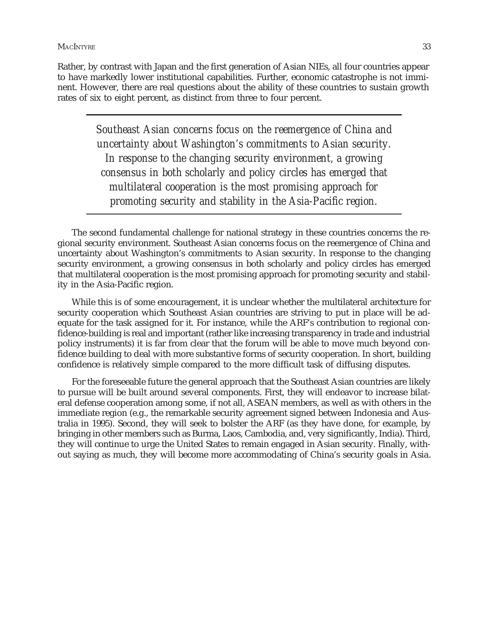Rather, by contrast with Japan and the first generation of Asian NIEs, all four countries appear to have markedly lower institutional capabilities. Further, economic catastrophe is not imminent. However, there are real questions about the ability of these countries to sustain growth rates of six to eight percent, as distinct from three to four percent.

> *Southeast Asian concerns focus on the reemergence of China and uncertainty about Washington's commitments to Asian security. In response to the changing security environment, a growing consensus in both scholarly and policy circles has emerged that multilateral cooperation is the most promising approach for promoting security and stability in the Asia-Pacific region.*

The second fundamental challenge for national strategy in these countries concerns the regional security environment. Southeast Asian concerns focus on the reemergence of China and uncertainty about Washington's commitments to Asian security. In response to the changing security environment, a growing consensus in both scholarly and policy circles has emerged that multilateral cooperation is the most promising approach for promoting security and stability in the Asia-Pacific region.

While this is of some encouragement, it is unclear whether the multilateral architecture for security cooperation which Southeast Asian countries are striving to put in place will be adequate for the task assigned for it. For instance, while the ARF's contribution to regional confidence-building is real and important (rather like increasing transparency in trade and industrial policy instruments) it is far from clear that the forum will be able to move much beyond confidence building to deal with more substantive forms of security cooperation. In short, building confidence is relatively simple compared to the more difficult task of diffusing disputes.

For the foreseeable future the general approach that the Southeast Asian countries are likely to pursue will be built around several components. First, they will endeavor to increase bilateral defense cooperation among some, if not all, ASEAN members, as well as with others in the immediate region (e.g., the remarkable security agreement signed between Indonesia and Australia in 1995). Second, they will seek to bolster the ARF (as they have done, for example, by bringing in other members such as Burma, Laos, Cambodia, and, very significantly, India). Third, they will continue to urge the United States to remain engaged in Asian security. Finally, without saying as much, they will become more accommodating of China's security goals in Asia.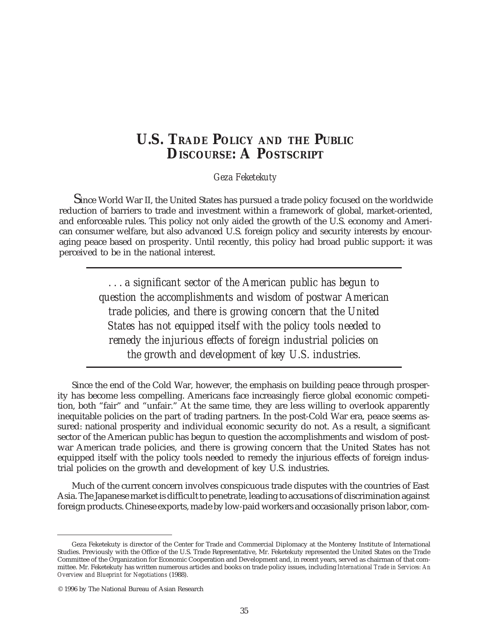# **U.S. TRADE POLICY AND THE PUBLIC DISCOURSE: A POSTSCRIPT**

*Geza Feketekuty*

Since World War II, the United States has pursued a trade policy focused on the worldwide reduction of barriers to trade and investment within a framework of global, market-oriented, and enforceable rules. This policy not only aided the growth of the U.S. economy and American consumer welfare, but also advanced U.S. foreign policy and security interests by encouraging peace based on prosperity. Until recently, this policy had broad public support: it was perceived to be in the national interest.

> *. . . a significant sector of the American public has begun to question the accomplishments and wisdom of postwar American trade policies, and there is growing concern that the United States has not equipped itself with the policy tools needed to remedy the injurious effects of foreign industrial policies on the growth and development of key U.S. industries.*

Since the end of the Cold War, however, the emphasis on building peace through prosperity has become less compelling. Americans face increasingly fierce global economic competition, both "fair" and "unfair." At the same time, they are less willing to overlook apparently inequitable policies on the part of trading partners. In the post-Cold War era, peace seems assured: national prosperity and individual economic security do not. As a result, a significant sector of the American public has begun to question the accomplishments and wisdom of postwar American trade policies, and there is growing concern that the United States has not equipped itself with the policy tools needed to remedy the injurious effects of foreign industrial policies on the growth and development of key U.S. industries.

Much of the current concern involves conspicuous trade disputes with the countries of East Asia. The Japanese market is difficult to penetrate, leading to accusations of discrimination against foreign products. Chinese exports, made by low-paid workers and occasionally prison labor, com-

Geza Feketekuty is director of the Center for Trade and Commercial Diplomacy at the Monterey Institute of International Studies. Previously with the Office of the U.S. Trade Representative, Mr. Feketekuty represented the United States on the Trade Committee of the Organization for Economic Cooperation and Development and, in recent years, served as chairman of that committee. Mr. Feketekuty has written numerous articles and books on trade policy issues, including *International Trade in Services: An Overview and Blueprint for Negotiations* (1988).

<sup>© 1996</sup> by The National Bureau of Asian Research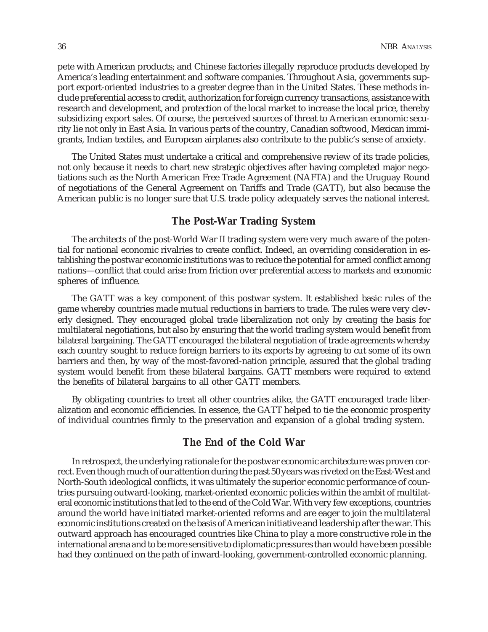pete with American products; and Chinese factories illegally reproduce products developed by America's leading entertainment and software companies. Throughout Asia, governments support export-oriented industries to a greater degree than in the United States. These methods include preferential access to credit, authorization for foreign currency transactions, assistance with research and development, and protection of the local market to increase the local price, thereby subsidizing export sales. Of course, the perceived sources of threat to American economic security lie not only in East Asia. In various parts of the country, Canadian softwood, Mexican immigrants, Indian textiles, and European airplanes also contribute to the public's sense of anxiety.

The United States must undertake a critical and comprehensive review of its trade policies, not only because it needs to chart new strategic objectives after having completed major negotiations such as the North American Free Trade Agreement (NAFTA) and the Uruguay Round of negotiations of the General Agreement on Tariffs and Trade (GATT), but also because the American public is no longer sure that U.S. trade policy adequately serves the national interest.

## **The Post-War Trading System**

The architects of the post-World War II trading system were very much aware of the potential for national economic rivalries to create conflict. Indeed, an overriding consideration in establishing the postwar economic institutions was to reduce the potential for armed conflict among nations—conflict that could arise from friction over preferential access to markets and economic spheres of influence.

The GATT was a key component of this postwar system. It established basic rules of the game whereby countries made mutual reductions in barriers to trade. The rules were very cleverly designed. They encouraged global trade liberalization not only by creating the basis for multilateral negotiations, but also by ensuring that the world trading system would benefit from bilateral bargaining. The GATT encouraged the bilateral negotiation of trade agreements whereby each country sought to reduce foreign barriers to its exports by agreeing to cut some of its own barriers and then, by way of the most-favored-nation principle, assured that the global trading system would benefit from these bilateral bargains. GATT members were required to extend the benefits of bilateral bargains to all other GATT members.

By obligating countries to treat all other countries alike, the GATT encouraged trade liberalization and economic efficiencies. In essence, the GATT helped to tie the economic prosperity of individual countries firmly to the preservation and expansion of a global trading system.

# **The End of the Cold War**

In retrospect, the underlying rationale for the postwar economic architecture was proven correct. Even though much of our attention during the past 50 years was riveted on the East-West and North-South ideological conflicts, it was ultimately the superior economic performance of countries pursuing outward-looking, market-oriented economic policies within the ambit of multilateral economic institutions that led to the end of the Cold War. With very few exceptions, countries around the world have initiated market-oriented reforms and are eager to join the multilateral economic institutions created on the basis of American initiative and leadership after the war. This outward approach has encouraged countries like China to play a more constructive role in the international arena and to be more sensitive to diplomatic pressures than would have been possible had they continued on the path of inward-looking, government-controlled economic planning.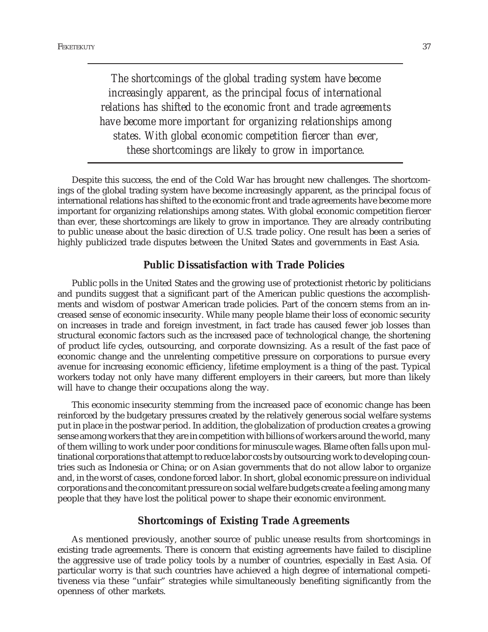*The shortcomings of the global trading system have become increasingly apparent, as the principal focus of international relations has shifted to the economic front and trade agreements have become more important for organizing relationships among states. With global economic competition fiercer than ever, these shortcomings are likely to grow in importance.*

Despite this success, the end of the Cold War has brought new challenges. The shortcomings of the global trading system have become increasingly apparent, as the principal focus of international relations has shifted to the economic front and trade agreements have become more important for organizing relationships among states. With global economic competition fiercer than ever, these shortcomings are likely to grow in importance. They are already contributing to public unease about the basic direction of U.S. trade policy. One result has been a series of highly publicized trade disputes between the United States and governments in East Asia.

## **Public Dissatisfaction with Trade Policies**

Public polls in the United States and the growing use of protectionist rhetoric by politicians and pundits suggest that a significant part of the American public questions the accomplishments and wisdom of postwar American trade policies. Part of the concern stems from an increased sense of economic insecurity. While many people blame their loss of economic security on increases in trade and foreign investment, in fact trade has caused fewer job losses than structural economic factors such as the increased pace of technological change, the shortening of product life cycles, outsourcing, and corporate downsizing. As a result of the fast pace of economic change and the unrelenting competitive pressure on corporations to pursue every avenue for increasing economic efficiency, lifetime employment is a thing of the past. Typical workers today not only have many different employers in their careers, but more than likely will have to change their occupations along the way.

This economic insecurity stemming from the increased pace of economic change has been reinforced by the budgetary pressures created by the relatively generous social welfare systems put in place in the postwar period. In addition, the globalization of production creates a growing sense among workers that they are in competition with billions of workers around the world, many of them willing to work under poor conditions for minuscule wages. Blame often falls upon multinational corporations that attempt to reduce labor costs by outsourcing work to developing countries such as Indonesia or China; or on Asian governments that do not allow labor to organize and, in the worst of cases, condone forced labor. In short, global economic pressure on individual corporations and the concomitant pressure on social welfare budgets create a feeling among many people that they have lost the political power to shape their economic environment.

### **Shortcomings of Existing Trade Agreements**

As mentioned previously, another source of public unease results from shortcomings in existing trade agreements. There is concern that existing agreements have failed to discipline the aggressive use of trade policy tools by a number of countries, especially in East Asia. Of particular worry is that such countries have achieved a high degree of international competitiveness via these "unfair" strategies while simultaneously benefiting significantly from the openness of other markets.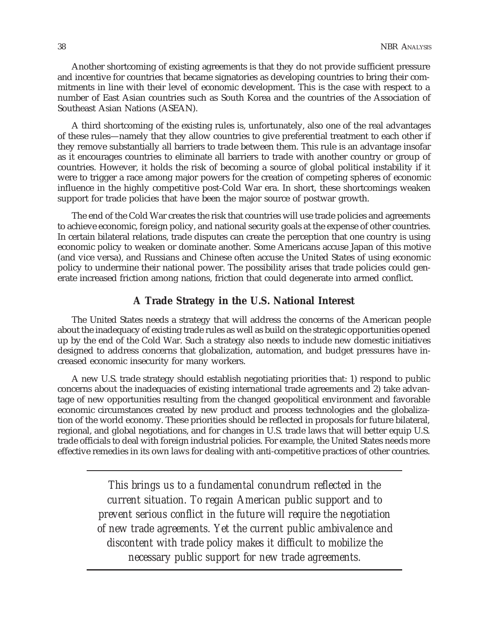Another shortcoming of existing agreements is that they do not provide sufficient pressure and incentive for countries that became signatories as developing countries to bring their commitments in line with their level of economic development. This is the case with respect to a number of East Asian countries such as South Korea and the countries of the Association of Southeast Asian Nations (ASEAN).

A third shortcoming of the existing rules is, unfortunately, also one of the real advantages of these rules—namely that they allow countries to give preferential treatment to each other if they remove substantially all barriers to trade between them. This rule is an advantage insofar as it encourages countries to eliminate all barriers to trade with another country or group of countries. However, it holds the risk of becoming a source of global political instability if it were to trigger a race among major powers for the creation of competing spheres of economic influence in the highly competitive post-Cold War era. In short, these shortcomings weaken support for trade policies that have been the major source of postwar growth.

The end of the Cold War creates the risk that countries will use trade policies and agreements to achieve economic, foreign policy, and national security goals at the expense of other countries. In certain bilateral relations, trade disputes can create the perception that one country is using economic policy to weaken or dominate another. Some Americans accuse Japan of this motive (and vice versa), and Russians and Chinese often accuse the United States of using economic policy to undermine their national power. The possibility arises that trade policies could generate increased friction among nations, friction that could degenerate into armed conflict.

## **A Trade Strategy in the U.S. National Interest**

The United States needs a strategy that will address the concerns of the American people about the inadequacy of existing trade rules as well as build on the strategic opportunities opened up by the end of the Cold War. Such a strategy also needs to include new domestic initiatives designed to address concerns that globalization, automation, and budget pressures have increased economic insecurity for many workers.

A new U.S. trade strategy should establish negotiating priorities that: 1) respond to public concerns about the inadequacies of existing international trade agreements and 2) take advantage of new opportunities resulting from the changed geopolitical environment and favorable economic circumstances created by new product and process technologies and the globalization of the world economy. These priorities should be reflected in proposals for future bilateral, regional, and global negotiations, and for changes in U.S. trade laws that will better equip U.S. trade officials to deal with foreign industrial policies. For example, the United States needs more effective remedies in its own laws for dealing with anti-competitive practices of other countries.

> *This brings us to a fundamental conundrum reflected in the current situation. To regain American public support and to prevent serious conflict in the future will require the negotiation of new trade agreements. Yet the current public ambivalence and discontent with trade policy makes it difficult to mobilize the necessary public support for new trade agreements.*